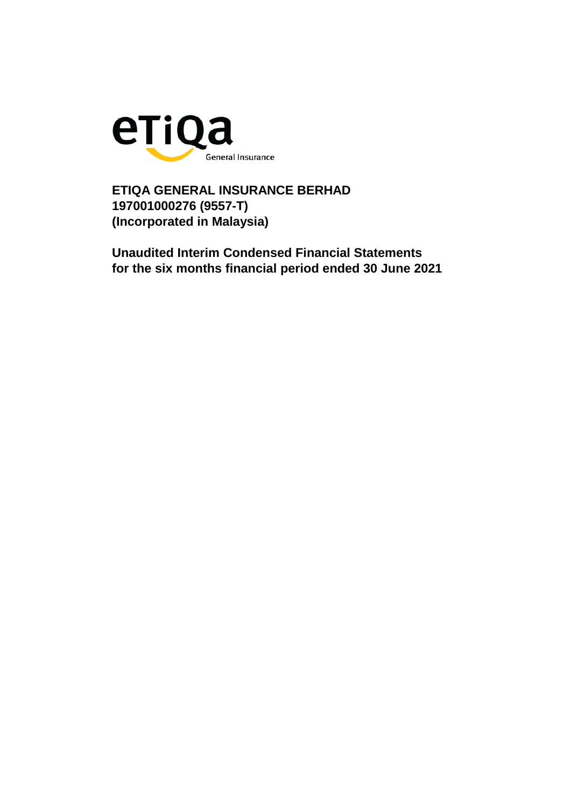

**ETIQA GENERAL INSURANCE BERHAD 197001000276 (9557-T) (Incorporated in Malaysia)**

**Unaudited Interim Condensed Financial Statements for the six months financial period ended 30 June 2021**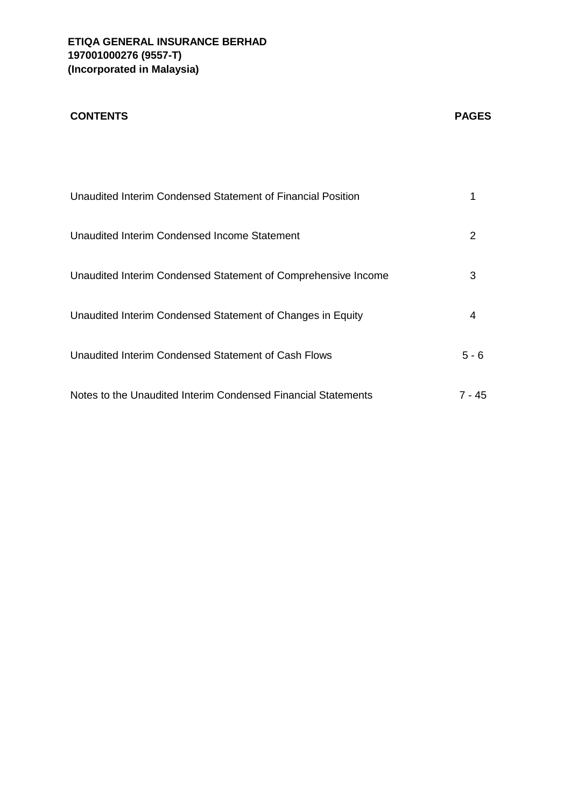# **CONTENTS PAGES**

| Unaudited Interim Condensed Statement of Financial Position   |         |
|---------------------------------------------------------------|---------|
| Unaudited Interim Condensed Income Statement                  | 2       |
| Unaudited Interim Condensed Statement of Comprehensive Income | 3       |
| Unaudited Interim Condensed Statement of Changes in Equity    | 4       |
| Unaudited Interim Condensed Statement of Cash Flows           | $5 - 6$ |
| Notes to the Unaudited Interim Condensed Financial Statements | 7 - 45  |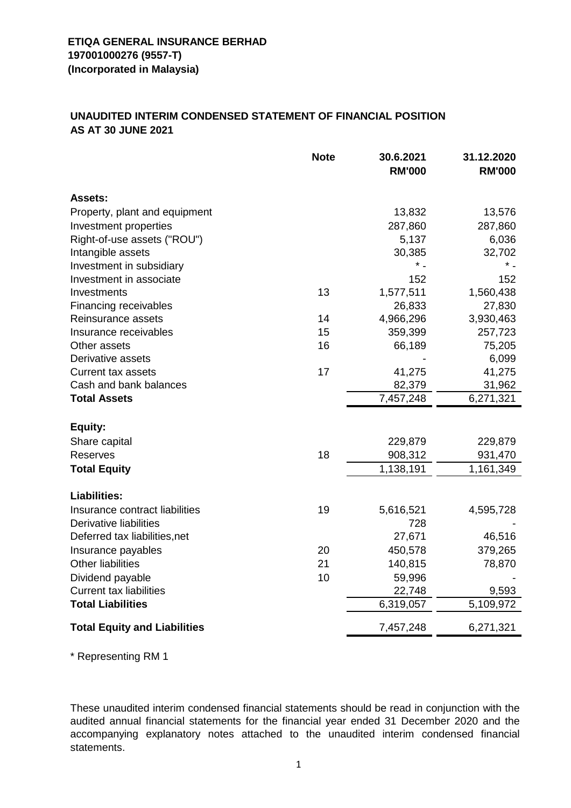## **UNAUDITED INTERIM CONDENSED STATEMENT OF FINANCIAL POSITION AS AT 30 JUNE 2021**

|                                     | <b>Note</b> | 30.6.2021<br><b>RM'000</b> | 31.12.2020<br><b>RM'000</b> |
|-------------------------------------|-------------|----------------------------|-----------------------------|
| <b>Assets:</b>                      |             |                            |                             |
| Property, plant and equipment       |             | 13,832                     | 13,576                      |
| Investment properties               |             | 287,860                    | 287,860                     |
| Right-of-use assets ("ROU")         |             | 5,137                      | 6,036                       |
| Intangible assets                   |             | 30,385                     | 32,702                      |
| Investment in subsidiary            |             |                            |                             |
| Investment in associate             |             | 152                        | 152                         |
| Investments                         | 13          | 1,577,511                  | 1,560,438                   |
| Financing receivables               |             | 26,833                     | 27,830                      |
| Reinsurance assets                  | 14          | 4,966,296                  | 3,930,463                   |
| Insurance receivables               | 15          | 359,399                    | 257,723                     |
| Other assets                        | 16          | 66,189                     | 75,205                      |
| Derivative assets                   |             |                            | 6,099                       |
| <b>Current tax assets</b>           | 17          | 41,275                     | 41,275                      |
| Cash and bank balances              |             | 82,379                     | 31,962                      |
| <b>Total Assets</b>                 |             | 7,457,248                  | 6,271,321                   |
| Equity:                             |             |                            |                             |
| Share capital                       |             | 229,879                    | 229,879                     |
| <b>Reserves</b>                     | 18          | 908,312                    | 931,470                     |
| <b>Total Equity</b>                 |             | 1,138,191                  | 1,161,349                   |
| <b>Liabilities:</b>                 |             |                            |                             |
| Insurance contract liabilities      | 19          | 5,616,521                  | 4,595,728                   |
| Derivative liabilities              |             | 728                        |                             |
| Deferred tax liabilities, net       |             | 27,671                     | 46,516                      |
| Insurance payables                  | 20          | 450,578                    | 379,265                     |
| <b>Other liabilities</b>            | 21          | 140,815                    | 78,870                      |
| Dividend payable                    | 10          | 59,996                     |                             |
| <b>Current tax liabilities</b>      |             | 22,748                     | 9,593                       |
| <b>Total Liabilities</b>            |             | 6,319,057                  | 5,109,972                   |
| <b>Total Equity and Liabilities</b> |             | 7,457,248                  | 6,271,321                   |

\* Representing RM 1

These unaudited interim condensed financial statements should be read in conjunction with the audited annual financial statements for the financial year ended 31 December 2020 and the accompanying explanatory notes attached to the unaudited interim condensed financial statements.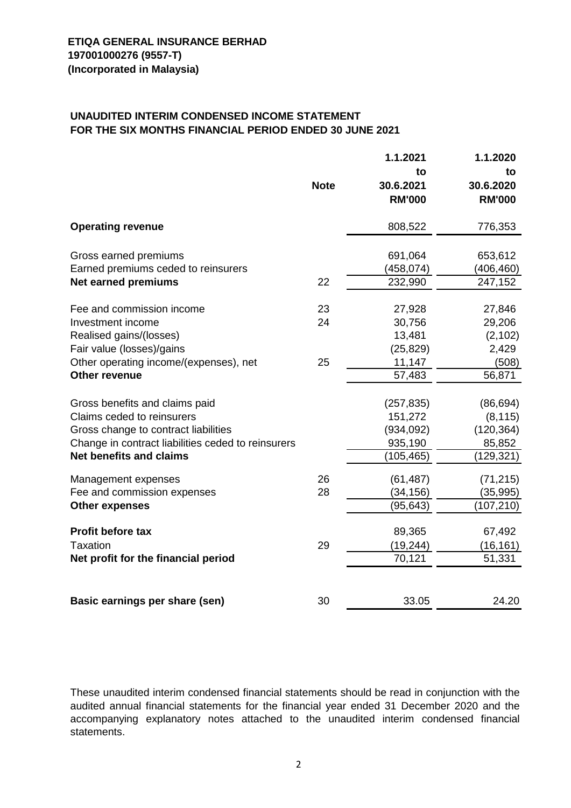# **UNAUDITED INTERIM CONDENSED INCOME STATEMENT FOR THE SIX MONTHS FINANCIAL PERIOD ENDED 30 JUNE 2021**

|                                                    |             | 1.1.2021      | 1.1.2020      |
|----------------------------------------------------|-------------|---------------|---------------|
|                                                    |             | to            | to            |
|                                                    | <b>Note</b> | 30.6.2021     | 30.6.2020     |
|                                                    |             | <b>RM'000</b> | <b>RM'000</b> |
| <b>Operating revenue</b>                           |             | 808,522       | 776,353       |
| Gross earned premiums                              |             | 691,064       | 653,612       |
| Earned premiums ceded to reinsurers                |             | (458, 074)    | (406, 460)    |
| <b>Net earned premiums</b>                         | 22          | 232,990       | 247,152       |
|                                                    |             |               |               |
| Fee and commission income                          | 23          | 27,928        | 27,846        |
| Investment income                                  | 24          | 30,756        | 29,206        |
| Realised gains/(losses)                            |             | 13,481        | (2, 102)      |
| Fair value (losses)/gains                          |             | (25, 829)     | 2,429         |
| Other operating income/(expenses), net             | 25          | 11,147        | (508)         |
| <b>Other revenue</b>                               |             | 57,483        | 56,871        |
|                                                    |             |               |               |
| Gross benefits and claims paid                     |             | (257, 835)    | (86, 694)     |
| Claims ceded to reinsurers                         |             | 151,272       | (8, 115)      |
| Gross change to contract liabilities               |             | (934, 092)    | (120, 364)    |
| Change in contract liabilities ceded to reinsurers |             | 935,190       | 85,852        |
| <b>Net benefits and claims</b>                     |             | (105, 465)    | (129, 321)    |
| Management expenses                                | 26          | (61, 487)     | (71, 215)     |
| Fee and commission expenses                        | 28          | (34, 156)     | (35, 995)     |
| <b>Other expenses</b>                              |             | (95, 643)     | (107, 210)    |
|                                                    |             |               |               |
| <b>Profit before tax</b>                           |             | 89,365        | 67,492        |
| Taxation                                           | 29          | (19, 244)     | (16, 161)     |
| Net profit for the financial period                |             | 70,121        | 51,331        |
|                                                    |             |               |               |
| Basic earnings per share (sen)                     | 30          | 33.05         | 24.20         |

These unaudited interim condensed financial statements should be read in conjunction with the audited annual financial statements for the financial year ended 31 December 2020 and the accompanying explanatory notes attached to the unaudited interim condensed financial statements.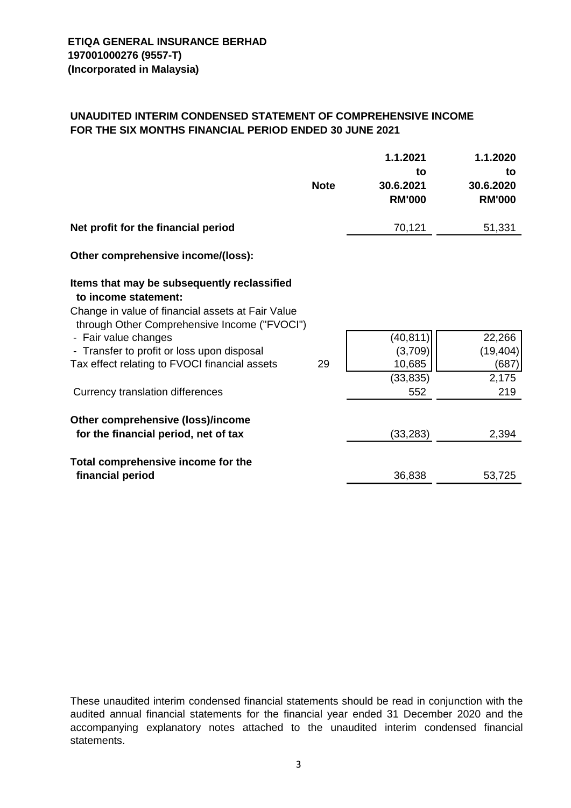## **UNAUDITED INTERIM CONDENSED STATEMENT OF COMPREHENSIVE INCOME FOR THE SIX MONTHS FINANCIAL PERIOD ENDED 30 JUNE 2021**

|                                                                                                                                                                                                                                                                                                                                     | <b>Note</b> | 1.1.2021<br>to<br>30.6.2021<br><b>RM'000</b>       | 1.1.2020<br>to<br>30.6.2020<br><b>RM'000</b> |
|-------------------------------------------------------------------------------------------------------------------------------------------------------------------------------------------------------------------------------------------------------------------------------------------------------------------------------------|-------------|----------------------------------------------------|----------------------------------------------|
| Net profit for the financial period                                                                                                                                                                                                                                                                                                 |             | 70,121                                             | 51,331                                       |
| Other comprehensive income/(loss):                                                                                                                                                                                                                                                                                                  |             |                                                    |                                              |
| Items that may be subsequently reclassified<br>to income statement:<br>Change in value of financial assets at Fair Value<br>through Other Comprehensive Income ("FVOCI")<br>- Fair value changes<br>- Transfer to profit or loss upon disposal<br>Tax effect relating to FVOCI financial assets<br>Currency translation differences | 29          | (40, 811)<br>(3,709)<br>10,685<br>(33, 835)<br>552 | 22,266<br>(19, 404)<br>(687)<br>2,175<br>219 |
| Other comprehensive (loss)/income<br>for the financial period, net of tax                                                                                                                                                                                                                                                           |             | (33, 283)                                          | 2,394                                        |
| Total comprehensive income for the<br>financial period                                                                                                                                                                                                                                                                              |             | 36,838                                             | 53,725                                       |

These unaudited interim condensed financial statements should be read in conjunction with the audited annual financial statements for the financial year ended 31 December 2020 and the accompanying explanatory notes attached to the unaudited interim condensed financial statements.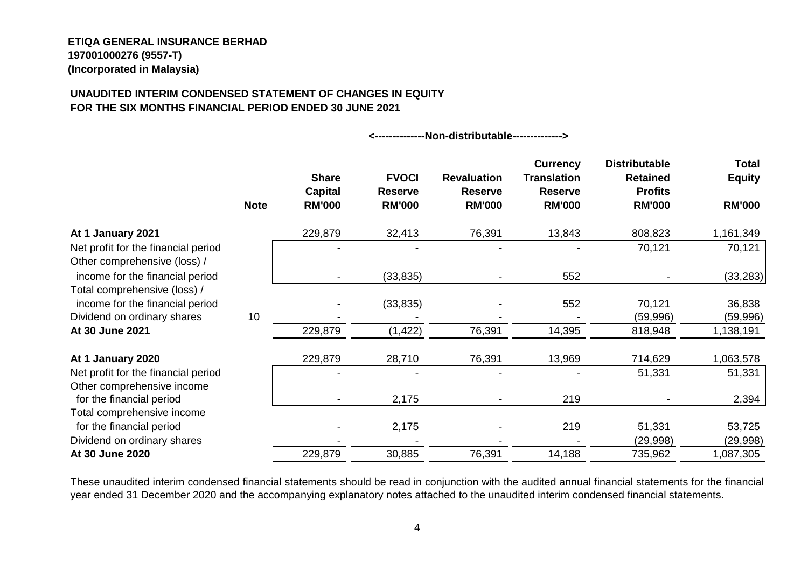#### **ETIQA GENERAL INSURANCE BERHAD 197001000276 (9557-T) (Incorporated in Malaysia)**

Other comprehensive income

Total comprehensive income

## **UNAUDITED INTERIM CONDENSED STATEMENT OF CHANGES IN EQUITY FOR THE SIX MONTHS FINANCIAL PERIOD ENDED 30 JUNE 2021**

|                                                                     | <b>Note</b> | <b>Share</b><br><b>Capital</b><br><b>RM'000</b> | <b>FVOCI</b><br><b>Reserve</b><br><b>RM'000</b> | <b>Revaluation</b><br><b>Reserve</b><br><b>RM'000</b> | <b>Currency</b><br><b>Translation</b><br><b>Reserve</b><br><b>RM'000</b> | <b>Distributable</b><br><b>Retained</b><br><b>Profits</b><br><b>RM'000</b> | Total<br><b>Equity</b><br><b>RM'000</b> |
|---------------------------------------------------------------------|-------------|-------------------------------------------------|-------------------------------------------------|-------------------------------------------------------|--------------------------------------------------------------------------|----------------------------------------------------------------------------|-----------------------------------------|
| At 1 January 2021                                                   |             | 229,879                                         | 32,413                                          | 76,391                                                | 13,843                                                                   | 808,823                                                                    | 1,161,349                               |
| Net profit for the financial period<br>Other comprehensive (loss) / |             |                                                 |                                                 |                                                       |                                                                          | 70,121                                                                     | 70,121                                  |
| income for the financial period                                     |             |                                                 | (33, 835)                                       |                                                       | 552                                                                      |                                                                            | (33, 283)                               |
| Total comprehensive (loss) /<br>income for the financial period     |             |                                                 | (33, 835)                                       |                                                       | 552                                                                      | 70,121                                                                     | 36,838                                  |
| Dividend on ordinary shares                                         | 10          |                                                 |                                                 |                                                       |                                                                          | (59,996)                                                                   | (59,996)                                |
| At 30 June 2021                                                     |             | 229,879                                         | (1, 422)                                        | 76,391                                                | 14,395                                                                   | 818,948                                                                    | 1,138,191                               |
| At 1 January 2020                                                   |             | 229,879                                         | 28,710                                          | 76,391                                                | 13,969                                                                   | 714,629                                                                    | 1,063,578                               |
| Net profit for the financial period                                 |             |                                                 |                                                 |                                                       |                                                                          | 51,331                                                                     | 51,331                                  |

**<--------------Non-distributable-------------->**

These unaudited interim condensed financial statements should be read in conjunction with the audited annual financial statements for the financial year ended 31 December 2020 and the accompanying explanatory notes attached to the unaudited interim condensed financial statements.

for the financial period 1.1 and 1.1 and 1.1 and 1.1 and 2.175 1.175 1.175 1.175 1.175 1.175 1.394

for the financial period **1980** - 2,175 - 219 51,331 53,725 Dividend on ordinary shares **-** - - - - - - - - - - - - - - - - - (29,998) (29,998) **At 30 June 2020** 229,879 30,885 76,391 14,188 735,962 1,087,305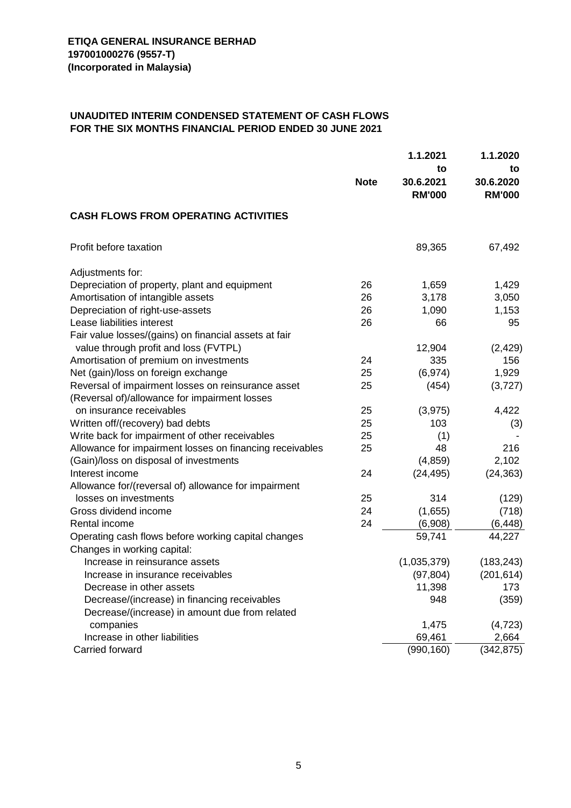#### **UNAUDITED INTERIM CONDENSED STATEMENT OF CASH FLOWS FOR THE SIX MONTHS FINANCIAL PERIOD ENDED 30 JUNE 2021**

| 1.1.2021                                                             | 1.1.2020      |
|----------------------------------------------------------------------|---------------|
| to                                                                   | to            |
| <b>Note</b><br>30.6.2021                                             | 30.6.2020     |
| <b>RM'000</b>                                                        | <b>RM'000</b> |
| <b>CASH FLOWS FROM OPERATING ACTIVITIES</b>                          |               |
| Profit before taxation<br>89,365                                     | 67,492        |
| Adjustments for:                                                     |               |
| Depreciation of property, plant and equipment<br>26<br>1,659         | 1,429         |
| Amortisation of intangible assets<br>3,178<br>26                     | 3,050         |
| Depreciation of right-use-assets<br>1,090<br>26                      | 1,153         |
| Lease liabilities interest<br>26<br>66                               | 95            |
| Fair value losses/(gains) on financial assets at fair                |               |
| value through profit and loss (FVTPL)<br>12,904                      | (2, 429)      |
| Amortisation of premium on investments<br>335<br>24                  | 156           |
| Net (gain)/loss on foreign exchange<br>25<br>(6, 974)                | 1,929         |
| Reversal of impairment losses on reinsurance asset<br>25<br>(454)    | (3,727)       |
| (Reversal of)/allowance for impairment losses                        |               |
| 25<br>(3, 975)<br>on insurance receivables                           | 4,422         |
| 25<br>Written off/(recovery) bad debts<br>103                        | (3)           |
| Write back for impairment of other receivables<br>25<br>(1)          |               |
| Allowance for impairment losses on financing receivables<br>25<br>48 | 216           |
| (Gain)/loss on disposal of investments<br>(4, 859)                   | 2,102         |
| Interest income<br>24<br>(24, 495)                                   | (24, 363)     |
| Allowance for/(reversal of) allowance for impairment                 |               |
| losses on investments<br>25<br>314                                   | (129)         |
| Gross dividend income<br>24<br>(1,655)                               | (718)         |
| Rental income<br>24<br>(6,908)                                       | (6, 448)      |
| 59,741<br>Operating cash flows before working capital changes        | 44,227        |
| Changes in working capital:                                          |               |
| Increase in reinsurance assets<br>(1,035,379)                        | (183, 243)    |
| (97, 804)<br>Increase in insurance receivables                       | (201,614)     |
| Decrease in other assets<br>11,398                                   | 173           |
| Decrease/(increase) in financing receivables<br>948                  | (359)         |
| Decrease/(increase) in amount due from related                       |               |
| companies<br>1,475                                                   | (4, 723)      |
| Increase in other liabilities<br>69,461                              | 2,664         |
| (990, 160)<br>Carried forward                                        | (342, 875)    |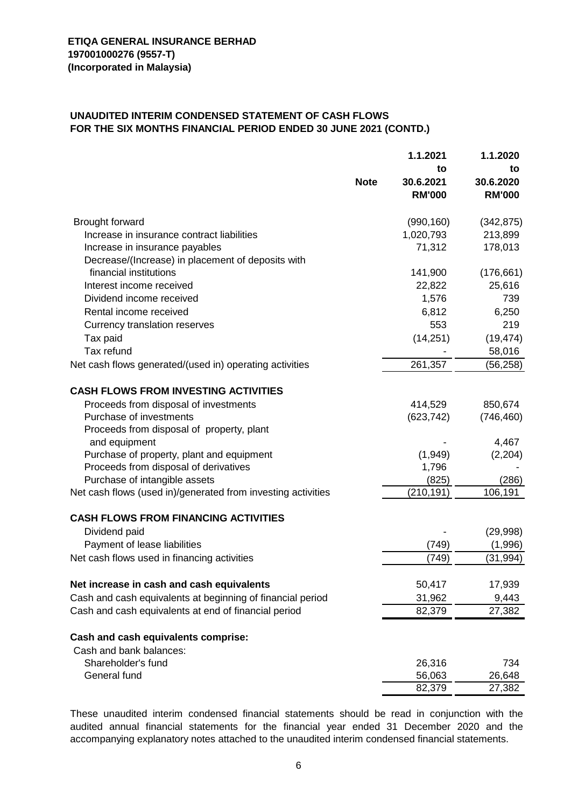#### **UNAUDITED INTERIM CONDENSED STATEMENT OF CASH FLOWS FOR THE SIX MONTHS FINANCIAL PERIOD ENDED 30 JUNE 2021 (CONTD.)**

|                                                                                    |             | 1.1.2021         | 1.1.2020        |
|------------------------------------------------------------------------------------|-------------|------------------|-----------------|
|                                                                                    | <b>Note</b> | to<br>30.6.2021  | to<br>30.6.2020 |
|                                                                                    |             | <b>RM'000</b>    | <b>RM'000</b>   |
| Brought forward                                                                    |             | (990, 160)       | (342, 875)      |
| Increase in insurance contract liabilities                                         |             | 1,020,793        | 213,899         |
| Increase in insurance payables                                                     |             | 71,312           | 178,013         |
| Decrease/(Increase) in placement of deposits with                                  |             |                  |                 |
| financial institutions                                                             |             | 141,900          | (176, 661)      |
| Interest income received                                                           |             | 22,822           | 25,616          |
| Dividend income received                                                           |             | 1,576            | 739             |
| Rental income received                                                             |             | 6,812            | 6,250           |
| Currency translation reserves                                                      |             | 553              | 219             |
| Tax paid                                                                           |             | (14, 251)        | (19, 474)       |
| Tax refund                                                                         |             |                  | 58,016          |
| Net cash flows generated/(used in) operating activities                            |             | 261,357          | (56, 258)       |
|                                                                                    |             |                  |                 |
| <b>CASH FLOWS FROM INVESTING ACTIVITIES</b>                                        |             |                  |                 |
| Proceeds from disposal of investments                                              |             | 414,529          | 850,674         |
| Purchase of investments                                                            |             | (623, 742)       | (746, 460)      |
| Proceeds from disposal of property, plant                                          |             |                  |                 |
| and equipment                                                                      |             |                  | 4,467           |
| Purchase of property, plant and equipment<br>Proceeds from disposal of derivatives |             | (1,949)<br>1,796 | (2, 204)        |
| Purchase of intangible assets                                                      |             | (825)            | (286)           |
| Net cash flows (used in)/generated from investing activities                       |             | (210, 191)       | 106,191         |
|                                                                                    |             |                  |                 |
| <b>CASH FLOWS FROM FINANCING ACTIVITIES</b>                                        |             |                  |                 |
| Dividend paid                                                                      |             |                  | (29,998)        |
| Payment of lease liabilities                                                       |             | (749)            | (1,996)         |
| Net cash flows used in financing activities                                        |             | (749)            | (31, 994)       |
| Net increase in cash and cash equivalents                                          |             | 50,417           | 17,939          |
| Cash and cash equivalents at beginning of financial period                         |             | 31,962           | 9,443           |
| Cash and cash equivalents at end of financial period                               |             | 82,379           | 27,382          |
|                                                                                    |             |                  |                 |
| Cash and cash equivalents comprise:                                                |             |                  |                 |
| Cash and bank balances:                                                            |             |                  |                 |
| Shareholder's fund                                                                 |             | 26,316           | 734             |
| General fund                                                                       |             | 56,063           | 26,648          |
|                                                                                    |             | 82,379           | 27,382          |

These unaudited interim condensed financial statements should be read in conjunction with the audited annual financial statements for the financial year ended 31 December 2020 and the accompanying explanatory notes attached to the unaudited interim condensed financial statements.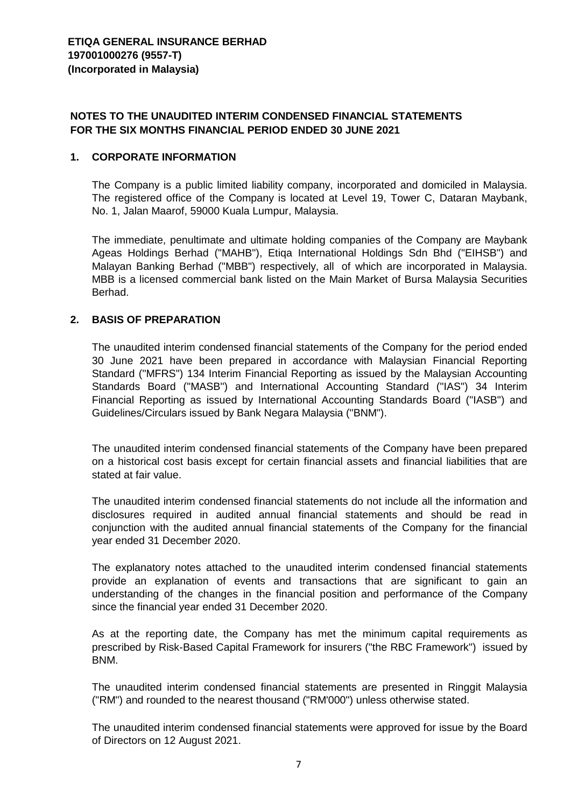## **NOTES TO THE UNAUDITED INTERIM CONDENSED FINANCIAL STATEMENTS FOR THE SIX MONTHS FINANCIAL PERIOD ENDED 30 JUNE 2021**

#### **1. CORPORATE INFORMATION**

The Company is a public limited liability company, incorporated and domiciled in Malaysia. The registered office of the Company is located at Level 19, Tower C, Dataran Maybank, No. 1, Jalan Maarof, 59000 Kuala Lumpur, Malaysia.

The immediate, penultimate and ultimate holding companies of the Company are Maybank Ageas Holdings Berhad ("MAHB"), Etiqa International Holdings Sdn Bhd ("EIHSB") and Malayan Banking Berhad ("MBB") respectively, all of which are incorporated in Malaysia. MBB is a licensed commercial bank listed on the Main Market of Bursa Malaysia Securities Berhad.

## **2. BASIS OF PREPARATION**

The unaudited interim condensed financial statements of the Company for the period ended 30 June 2021 have been prepared in accordance with Malaysian Financial Reporting Standard ("MFRS") 134 Interim Financial Reporting as issued by the Malaysian Accounting Standards Board ("MASB") and International Accounting Standard ("IAS") 34 Interim Financial Reporting as issued by International Accounting Standards Board ("IASB") and Guidelines/Circulars issued by Bank Negara Malaysia ("BNM").

The unaudited interim condensed financial statements of the Company have been prepared on a historical cost basis except for certain financial assets and financial liabilities that are stated at fair value.

The unaudited interim condensed financial statements do not include all the information and disclosures required in audited annual financial statements and should be read in conjunction with the audited annual financial statements of the Company for the financial year ended 31 December 2020.

The explanatory notes attached to the unaudited interim condensed financial statements provide an explanation of events and transactions that are significant to gain an understanding of the changes in the financial position and performance of the Company since the financial year ended 31 December 2020.

As at the reporting date, the Company has met the minimum capital requirements as prescribed by Risk-Based Capital Framework for insurers ("the RBC Framework") issued by BNM.

The unaudited interim condensed financial statements are presented in Ringgit Malaysia ("RM") and rounded to the nearest thousand ("RM'000") unless otherwise stated.

The unaudited interim condensed financial statements were approved for issue by the Board of Directors on 12 August 2021.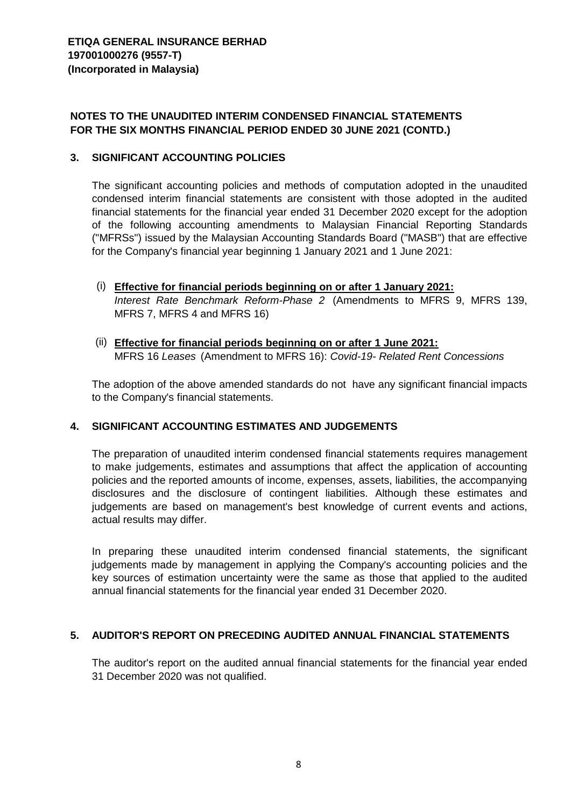# **NOTES TO THE UNAUDITED INTERIM CONDENSED FINANCIAL STATEMENTS FOR THE SIX MONTHS FINANCIAL PERIOD ENDED 30 JUNE 2021 (CONTD.)**

#### **3. SIGNIFICANT ACCOUNTING POLICIES**

The significant accounting policies and methods of computation adopted in the unaudited condensed interim financial statements are consistent with those adopted in the audited financial statements for the financial year ended 31 December 2020 except for the adoption of the following accounting amendments to Malaysian Financial Reporting Standards ("MFRSs") issued by the Malaysian Accounting Standards Board ("MASB") that are effective for the Company's financial year beginning 1 January 2021 and 1 June 2021:

- (i) **Effective for financial periods beginning on or after 1 January 2021:** *Interest Rate Benchmark Reform-Phase 2* (Amendments to MFRS 9, MFRS 139, MFRS 7, MFRS 4 and MFRS 16)
- (ii) **Effective for financial periods beginning on or after 1 June 2021:** MFRS 16 *Leases* (Amendment to MFRS 16): *Covid-19- Related Rent Concessions*

The adoption of the above amended standards do not have any significant financial impacts to the Company's financial statements.

## **4. SIGNIFICANT ACCOUNTING ESTIMATES AND JUDGEMENTS**

The preparation of unaudited interim condensed financial statements requires management to make judgements, estimates and assumptions that affect the application of accounting policies and the reported amounts of income, expenses, assets, liabilities, the accompanying disclosures and the disclosure of contingent liabilities. Although these estimates and judgements are based on management's best knowledge of current events and actions, actual results may differ.

In preparing these unaudited interim condensed financial statements, the significant judgements made by management in applying the Company's accounting policies and the key sources of estimation uncertainty were the same as those that applied to the audited annual financial statements for the financial year ended 31 December 2020.

## **5. AUDITOR'S REPORT ON PRECEDING AUDITED ANNUAL FINANCIAL STATEMENTS**

The auditor's report on the audited annual financial statements for the financial year ended 31 December 2020 was not qualified.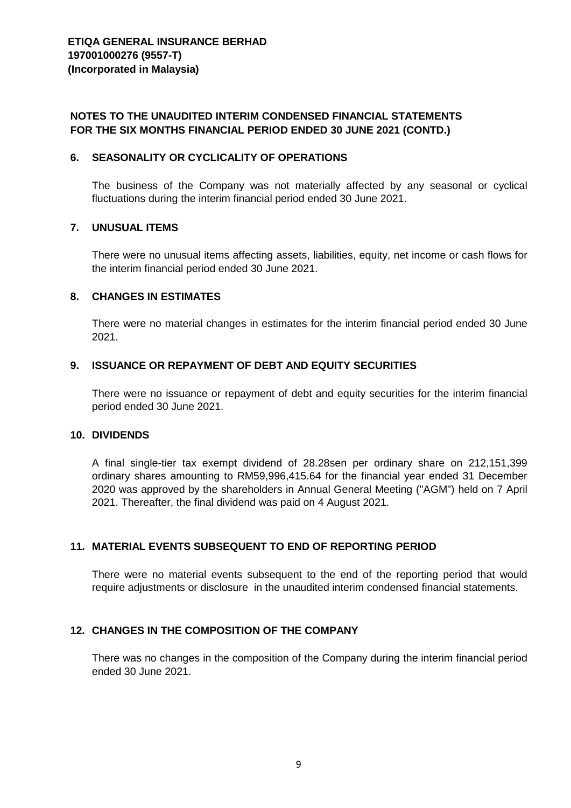## **NOTES TO THE UNAUDITED INTERIM CONDENSED FINANCIAL STATEMENTS FOR THE SIX MONTHS FINANCIAL PERIOD ENDED 30 JUNE 2021 (CONTD.)**

#### **6. SEASONALITY OR CYCLICALITY OF OPERATIONS**

The business of the Company was not materially affected by any seasonal or cyclical fluctuations during the interim financial period ended 30 June 2021.

#### **7. UNUSUAL ITEMS**

There were no unusual items affecting assets, liabilities, equity, net income or cash flows for the interim financial period ended 30 June 2021.

#### **8. CHANGES IN ESTIMATES**

There were no material changes in estimates for the interim financial period ended 30 June 2021.

#### **9. ISSUANCE OR REPAYMENT OF DEBT AND EQUITY SECURITIES**

There were no issuance or repayment of debt and equity securities for the interim financial period ended 30 June 2021.

#### **10. DIVIDENDS**

A final single-tier tax exempt dividend of 28.28sen per ordinary share on 212,151,399 ordinary shares amounting to RM59,996,415.64 for the financial year ended 31 December 2020 was approved by the shareholders in Annual General Meeting ("AGM") held on 7 April 2021. Thereafter, the final dividend was paid on 4 August 2021.

#### **11. MATERIAL EVENTS SUBSEQUENT TO END OF REPORTING PERIOD**

There were no material events subsequent to the end of the reporting period that would require adjustments or disclosure in the unaudited interim condensed financial statements.

#### **12. CHANGES IN THE COMPOSITION OF THE COMPANY**

There was no changes in the composition of the Company during the interim financial period ended 30 June 2021.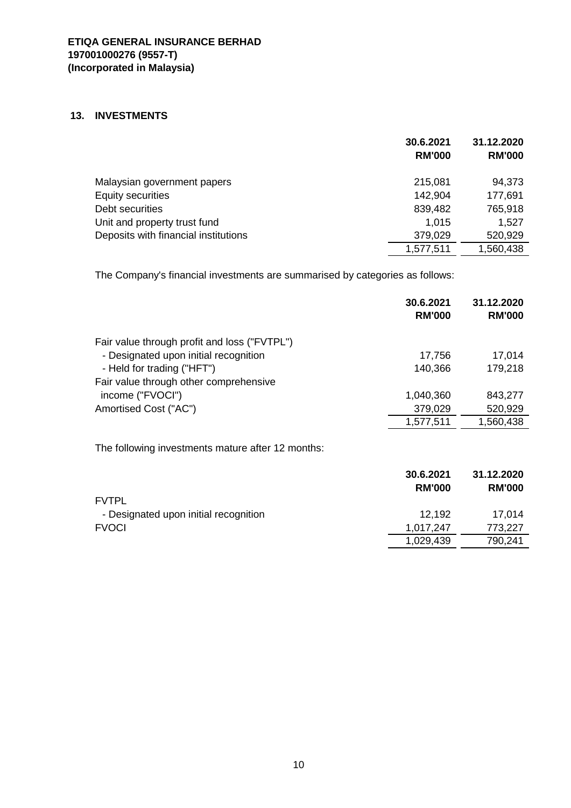#### **13. INVESTMENTS**

|                                      | 30.6.2021<br><b>RM'000</b> | 31.12.2020<br><b>RM'000</b> |
|--------------------------------------|----------------------------|-----------------------------|
| Malaysian government papers          | 215,081                    | 94,373                      |
| <b>Equity securities</b>             | 142,904                    | 177,691                     |
| Debt securities                      | 839,482                    | 765,918                     |
| Unit and property trust fund         | 1,015                      | 1,527                       |
| Deposits with financial institutions | 379,029                    | 520,929                     |
|                                      | 1,577,511                  | 1,560,438                   |

The Company's financial investments are summarised by categories as follows:

|                                                   | 30.6.2021<br><b>RM'000</b> | 31.12.2020<br><b>RM'000</b> |
|---------------------------------------------------|----------------------------|-----------------------------|
| Fair value through profit and loss ("FVTPL")      |                            |                             |
| - Designated upon initial recognition             | 17,756                     | 17,014                      |
| - Held for trading ("HFT")                        | 140,366                    | 179,218                     |
| Fair value through other comprehensive            |                            |                             |
| income ("FVOCI")                                  | 1,040,360                  | 843,277                     |
| Amortised Cost ("AC")                             | 379,029                    | 520,929                     |
|                                                   | 1,577,511                  | 1,560,438                   |
|                                                   |                            |                             |
| The following investments mature after 12 months: |                            |                             |
|                                                   | 30.6.2021                  | 31.12.2020                  |
|                                                   | <b>RM'000</b>              | <b>RM'000</b>               |
| <b>FVTPL</b>                                      |                            |                             |
| - Designated upon initial recognition             | 12,192                     | 17,014                      |
| <b>FVOCI</b>                                      | 1,017,247                  | 773,227                     |
|                                                   | 1,029,439                  | 790,241                     |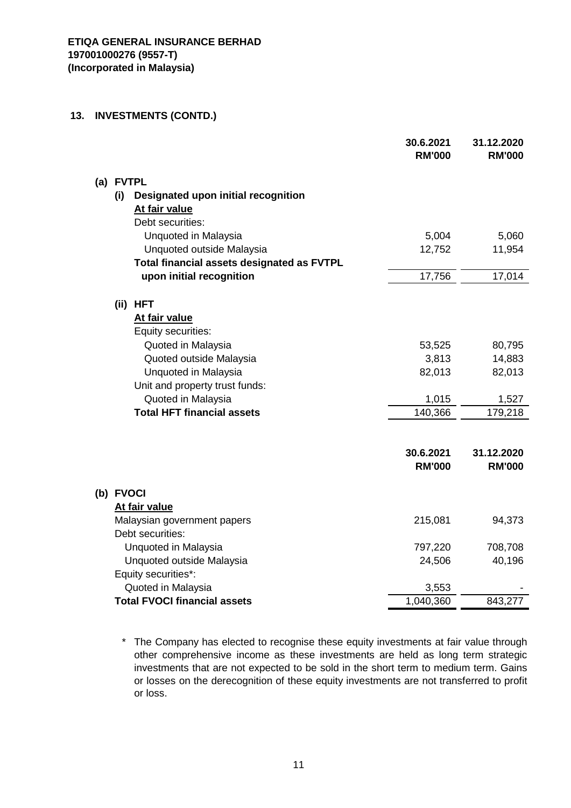#### **13. INVESTMENTS (CONTD.)**

|           |                                                                          | 30.6.2021<br><b>RM'000</b> | 31.12.2020<br><b>RM'000</b> |
|-----------|--------------------------------------------------------------------------|----------------------------|-----------------------------|
|           | (a) FVTPL                                                                |                            |                             |
| (i)       | Designated upon initial recognition<br>At fair value<br>Debt securities: |                            |                             |
|           | Unquoted in Malaysia<br>Unquoted outside Malaysia                        | 5,004<br>12,752            | 5,060<br>11,954             |
|           | Total financial assets designated as FVTPL                               |                            |                             |
|           | upon initial recognition                                                 | 17,756                     | 17,014                      |
|           | (ii) HFT<br>At fair value<br>Equity securities:                          |                            |                             |
|           | Quoted in Malaysia                                                       | 53,525                     | 80,795                      |
|           | Quoted outside Malaysia                                                  | 3,813                      | 14,883                      |
|           | Unquoted in Malaysia                                                     | 82,013                     | 82,013                      |
|           | Unit and property trust funds:                                           |                            |                             |
|           | Quoted in Malaysia                                                       | 1,015                      | 1,527                       |
|           | <b>Total HFT financial assets</b>                                        | 140,366                    | 179,218                     |
|           |                                                                          | 30.6.2021<br><b>RM'000</b> | 31.12.2020<br><b>RM'000</b> |
| (b) FVOCI |                                                                          |                            |                             |
|           | At fair value                                                            |                            |                             |
|           | Malaysian government papers<br>Debt securities:                          | 215,081                    | 94,373                      |
|           | Unquoted in Malaysia                                                     | 797,220                    | 708,708                     |
|           | Unquoted outside Malaysia                                                | 24,506                     | 40,196                      |
|           | Equity securities*:                                                      |                            |                             |
|           | Quoted in Malaysia                                                       | 3,553                      |                             |
|           | <b>Total FVOCI financial assets</b>                                      | 1,040,360                  | 843,277                     |

\* The Company has elected to recognise these equity investments at fair value through other comprehensive income as these investments are held as long term strategic investments that are not expected to be sold in the short term to medium term. Gains or losses on the derecognition of these equity investments are not transferred to profit or loss.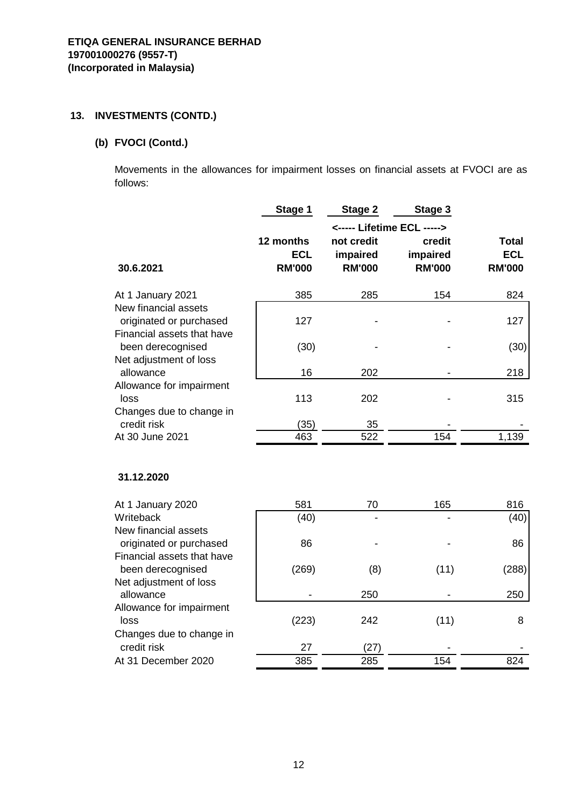# **13. INVESTMENTS (CONTD.)**

# **(b) FVOCI (Contd.)**

Movements in the allowances for impairment losses on financial assets at FVOCI are as follows:

|                                                       | Stage 1       | Stage 2                    | Stage 3       |               |  |  |
|-------------------------------------------------------|---------------|----------------------------|---------------|---------------|--|--|
|                                                       |               | <----- Lifetime ECL -----> |               |               |  |  |
|                                                       | 12 months     | not credit                 | credit        | Total         |  |  |
|                                                       | <b>ECL</b>    | impaired                   | impaired      | <b>ECL</b>    |  |  |
| 30.6.2021                                             | <b>RM'000</b> | <b>RM'000</b>              | <b>RM'000</b> | <b>RM'000</b> |  |  |
| At 1 January 2021                                     | 385           | 285                        | 154           | 824           |  |  |
| New financial assets                                  |               |                            |               |               |  |  |
| originated or purchased                               | 127           |                            |               | 127           |  |  |
| Financial assets that have<br>been derecognised       |               |                            |               |               |  |  |
| Net adjustment of loss                                | (30)          |                            |               | (30)          |  |  |
| allowance                                             | 16            | 202                        |               | 218           |  |  |
| Allowance for impairment                              |               |                            |               |               |  |  |
| loss                                                  | 113           | 202                        |               | 315           |  |  |
| Changes due to change in<br>credit risk               | (35)          | 35                         |               |               |  |  |
| At 30 June 2021                                       | 463           | 522                        | 154           | 1,139         |  |  |
|                                                       |               |                            |               |               |  |  |
| 31.12.2020                                            |               |                            |               |               |  |  |
| At 1 January 2020                                     | 581           | 70                         | 165           | 816           |  |  |
| Writeback                                             | (40)          |                            |               | (40)          |  |  |
| New financial assets                                  |               |                            |               |               |  |  |
| originated or purchased<br>Financial assets that have | 86            |                            |               | 86            |  |  |
| been derecognised                                     | (269)         | (8)                        | (11)          | (288)         |  |  |
| Net adjustment of loss                                |               |                            |               |               |  |  |
| allowance                                             |               | 250                        |               | 250           |  |  |
| Allowance for impairment                              |               |                            |               |               |  |  |
| loss<br>Changes due to change in                      | (223)         | 242                        | (11)          | 8             |  |  |
| credit risk                                           | 27            | (27)                       |               |               |  |  |

At 31 December 2020 385 285 285 154 824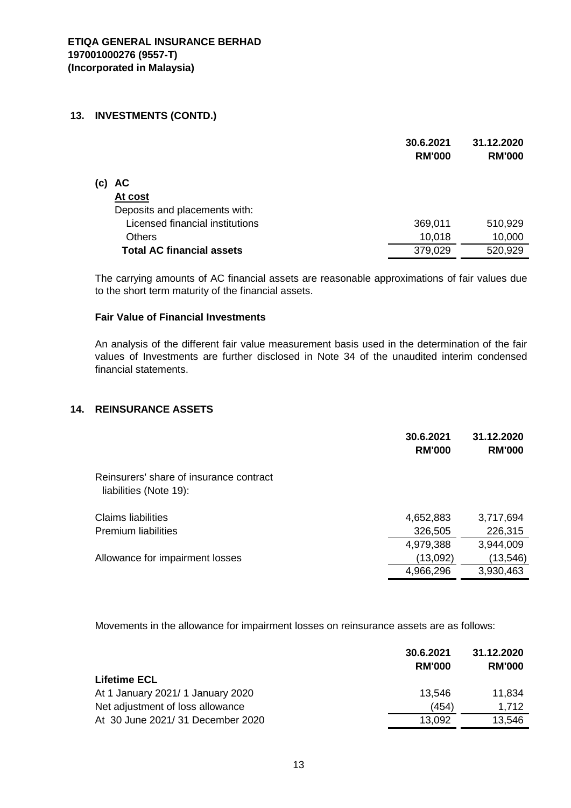#### **13. INVESTMENTS (CONTD.)**

|     |                                  | 30.6.2021<br><b>RM'000</b> | 31.12.2020<br><b>RM'000</b> |
|-----|----------------------------------|----------------------------|-----------------------------|
| (c) | <b>AC</b>                        |                            |                             |
|     | At cost                          |                            |                             |
|     | Deposits and placements with:    |                            |                             |
|     | Licensed financial institutions  | 369,011                    | 510,929                     |
|     | <b>Others</b>                    | 10,018                     | 10,000                      |
|     | <b>Total AC financial assets</b> | 379,029                    | 520,929                     |

The carrying amounts of AC financial assets are reasonable approximations of fair values due to the short term maturity of the financial assets.

#### **Fair Value of Financial Investments**

An analysis of the different fair value measurement basis used in the determination of the fair values of Investments are further disclosed in Note 34 of the unaudited interim condensed financial statements.

## **14. REINSURANCE ASSETS**

|                                                                   | 30.6.2021<br><b>RM'000</b> | 31.12.2020<br><b>RM'000</b> |
|-------------------------------------------------------------------|----------------------------|-----------------------------|
| Reinsurers' share of insurance contract<br>liabilities (Note 19): |                            |                             |
| Claims liabilities                                                | 4,652,883                  | 3,717,694                   |
| <b>Premium liabilities</b>                                        | 326,505                    | 226,315                     |
|                                                                   | 4,979,388                  | 3,944,009                   |
| Allowance for impairment losses                                   | (13,092)                   | (13, 546)                   |
|                                                                   | 4,966,296                  | 3,930,463                   |

Movements in the allowance for impairment losses on reinsurance assets are as follows:

|                                   | 30.6.2021<br><b>RM'000</b> | 31.12.2020<br><b>RM'000</b> |
|-----------------------------------|----------------------------|-----------------------------|
| <b>Lifetime ECL</b>               |                            |                             |
| At 1 January 2021/ 1 January 2020 | 13.546                     | 11,834                      |
| Net adjustment of loss allowance  | (454)                      | 1.712                       |
| At 30 June 2021/31 December 2020  | 13,092                     | 13,546                      |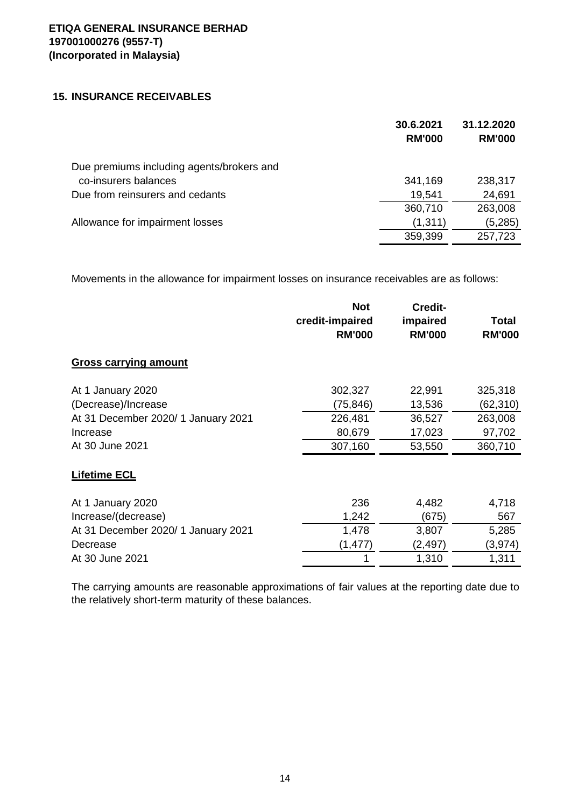## **15. INSURANCE RECEIVABLES**

|                                           | 30.6.2021<br><b>RM'000</b> | 31.12.2020<br><b>RM'000</b> |
|-------------------------------------------|----------------------------|-----------------------------|
| Due premiums including agents/brokers and |                            |                             |
| co-insurers balances                      | 341,169                    | 238,317                     |
| Due from reinsurers and cedants           | 19,541                     | 24,691                      |
|                                           | 360,710                    | 263,008                     |
| Allowance for impairment losses           | (1, 311)                   | (5,285)                     |
|                                           | 359,399                    | 257,723                     |
|                                           |                            |                             |

Movements in the allowance for impairment losses on insurance receivables are as follows:

|                                     | <b>Not</b><br>credit-impaired<br><b>RM'000</b> | <b>Credit-</b><br>impaired<br><b>RM'000</b> | Total<br><b>RM'000</b> |
|-------------------------------------|------------------------------------------------|---------------------------------------------|------------------------|
| <b>Gross carrying amount</b>        |                                                |                                             |                        |
| At 1 January 2020                   | 302,327                                        | 22,991                                      | 325,318                |
| (Decrease)/Increase                 | (75, 846)                                      | 13,536                                      | (62, 310)              |
| At 31 December 2020/ 1 January 2021 | 226,481                                        | 36,527                                      | 263,008                |
| Increase                            | 80,679                                         | 17,023                                      | 97,702                 |
| At 30 June 2021                     | 307,160                                        | 53,550                                      | 360,710                |
| <b>Lifetime ECL</b>                 |                                                |                                             |                        |
| At 1 January 2020                   | 236                                            | 4,482                                       | 4,718                  |
| Increase/(decrease)                 | 1,242                                          | (675)                                       | 567                    |
| At 31 December 2020/ 1 January 2021 | 1,478                                          | 3,807                                       | 5,285                  |
| Decrease                            | (1, 477)                                       | (2, 497)                                    | (3, 974)               |
| At 30 June 2021                     |                                                | 1,310                                       | 1,311                  |

The carrying amounts are reasonable approximations of fair values at the reporting date due to the relatively short-term maturity of these balances.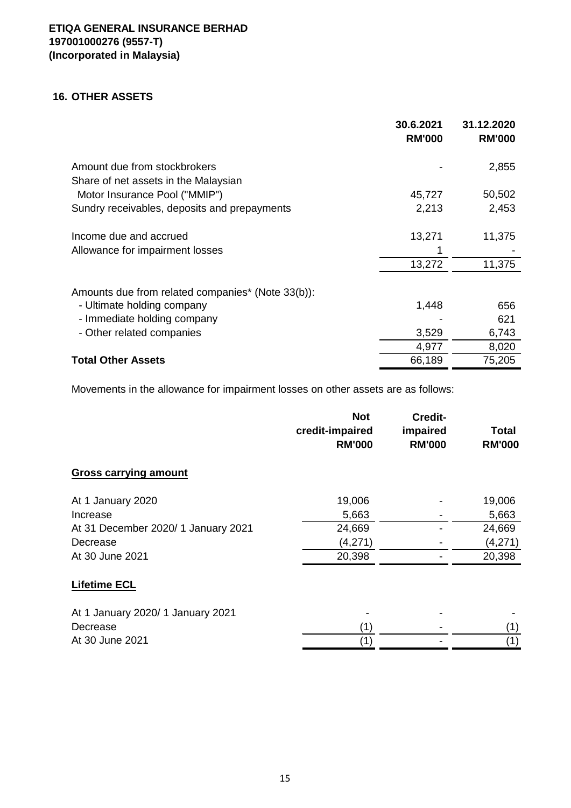## **16. OTHER ASSETS**

|                                                   | 30.6.2021<br><b>RM'000</b> | 31.12.2020<br><b>RM'000</b> |
|---------------------------------------------------|----------------------------|-----------------------------|
| Amount due from stockbrokers                      |                            | 2,855                       |
| Share of net assets in the Malaysian              |                            |                             |
| Motor Insurance Pool ("MMIP")                     | 45,727                     | 50,502                      |
| Sundry receivables, deposits and prepayments      | 2,213                      | 2,453                       |
| Income due and accrued                            | 13,271                     | 11,375                      |
| Allowance for impairment losses                   |                            |                             |
|                                                   | 13,272                     | 11,375                      |
| Amounts due from related companies* (Note 33(b)): |                            |                             |
| - Ultimate holding company                        | 1,448                      | 656                         |
| - Immediate holding company                       |                            | 621                         |
| - Other related companies                         | 3,529                      | 6,743                       |
|                                                   | 4,977                      | 8,020                       |
| <b>Total Other Assets</b>                         | 66,189                     | 75,205                      |

Movements in the allowance for impairment losses on other assets are as follows:

|                                     | <b>Not</b><br>credit-impaired<br><b>RM'000</b> | Credit-<br>impaired<br><b>RM'000</b> | Total<br><b>RM'000</b> |
|-------------------------------------|------------------------------------------------|--------------------------------------|------------------------|
| <b>Gross carrying amount</b>        |                                                |                                      |                        |
| At 1 January 2020                   | 19,006                                         |                                      | 19,006                 |
| Increase                            | 5,663                                          |                                      | 5,663                  |
| At 31 December 2020/ 1 January 2021 | 24,669                                         |                                      | 24,669                 |
| Decrease                            | (4,271)                                        |                                      | (4,271)                |
| At 30 June 2021                     | 20,398                                         |                                      | 20,398                 |
| <b>Lifetime ECL</b>                 |                                                |                                      |                        |
| At 1 January 2020/ 1 January 2021   |                                                |                                      |                        |
| Decrease                            | (1)                                            |                                      | (1)                    |
| At 30 June 2021                     | (1)                                            |                                      | (1)                    |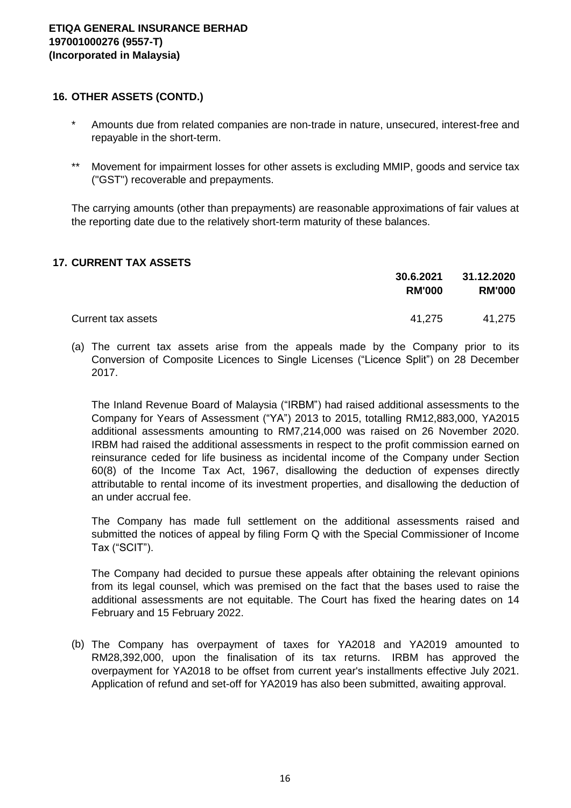#### **16. OTHER ASSETS (CONTD.)**

- \* Amounts due from related companies are non-trade in nature, unsecured, interest-free and repayable in the short-term.
- \*\* Movement for impairment losses for other assets is excluding MMIP, goods and service tax ("GST") recoverable and prepayments.

The carrying amounts (other than prepayments) are reasonable approximations of fair values at the reporting date due to the relatively short-term maturity of these balances.

## **17. CURRENT TAX ASSETS**

|                    | 30.6.2021<br><b>RM'000</b> | 31.12.2020<br><b>RM'000</b> |
|--------------------|----------------------------|-----------------------------|
| Current tax assets | 41,275                     | 41,275                      |

(a) The current tax assets arise from the appeals made by the Company prior to its Conversion of Composite Licences to Single Licenses ("Licence Split") on 28 December 2017.

The Inland Revenue Board of Malaysia ("IRBM") had raised additional assessments to the Company for Years of Assessment ("YA") 2013 to 2015, totalling RM12,883,000, YA2015 additional assessments amounting to RM7,214,000 was raised on 26 November 2020. IRBM had raised the additional assessments in respect to the profit commission earned on reinsurance ceded for life business as incidental income of the Company under Section 60(8) of the Income Tax Act, 1967, disallowing the deduction of expenses directly attributable to rental income of its investment properties, and disallowing the deduction of an under accrual fee.

The Company has made full settlement on the additional assessments raised and submitted the notices of appeal by filing Form Q with the Special Commissioner of Income Tax ("SCIT").

The Company had decided to pursue these appeals after obtaining the relevant opinions from its legal counsel, which was premised on the fact that the bases used to raise the additional assessments are not equitable. The Court has fixed the hearing dates on 14 February and 15 February 2022.

(b) The Company has overpayment of taxes for YA2018 and YA2019 amounted to RM28,392,000, upon the finalisation of its tax returns. IRBM has approved the overpayment for YA2018 to be offset from current year's installments effective July 2021. Application of refund and set-off for YA2019 has also been submitted, awaiting approval.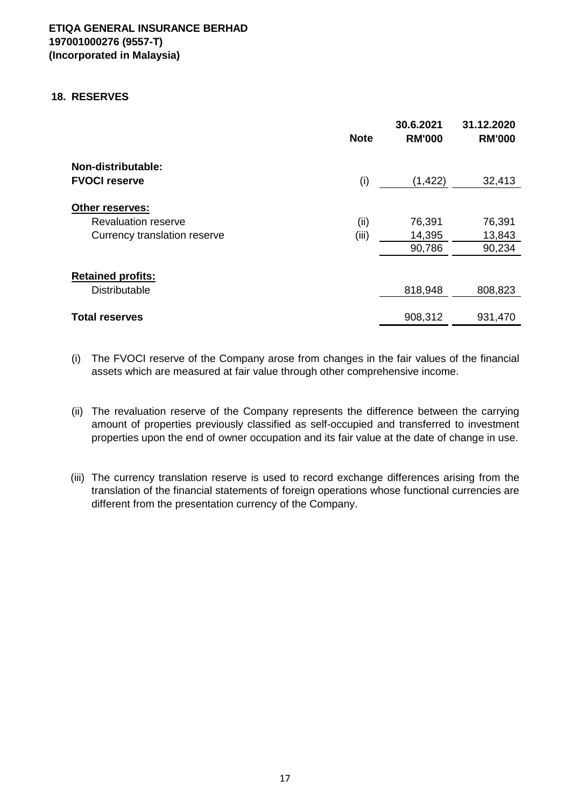#### **18. RESERVES**

|                                                  | <b>Note</b> | 30.6.2021<br><b>RM'000</b> | 31.12.2020<br><b>RM'000</b> |
|--------------------------------------------------|-------------|----------------------------|-----------------------------|
| Non-distributable:                               |             |                            |                             |
| <b>FVOCI reserve</b>                             | (i)         | (1, 422)                   | 32,413                      |
| Other reserves:<br><b>Revaluation reserve</b>    | (ii)        | 76,391<br>14,395           | 76,391<br>13,843            |
| Currency translation reserve                     | (iii)       | 90,786                     | 90,234                      |
| <b>Retained profits:</b><br><b>Distributable</b> |             | 818,948                    | 808,823                     |
| <b>Total reserves</b>                            |             | 908,312                    | 931,470                     |

- (i) The FVOCI reserve of the Company arose from changes in the fair values of the financial assets which are measured at fair value through other comprehensive income.
- (ii) The revaluation reserve of the Company represents the difference between the carrying amount of properties previously classified as self-occupied and transferred to investment properties upon the end of owner occupation and its fair value at the date of change in use.
- (iii) The currency translation reserve is used to record exchange differences arising from the translation of the financial statements of foreign operations whose functional currencies are different from the presentation currency of the Company.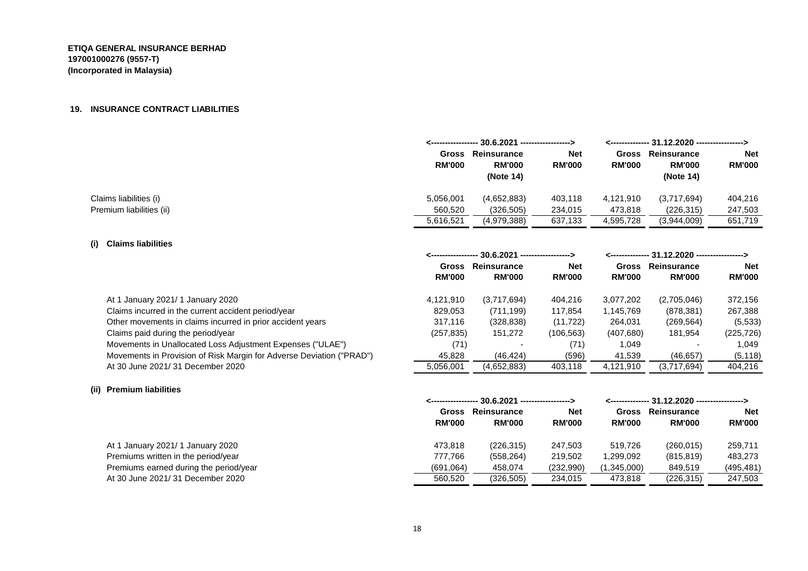#### **19. INSURANCE CONTRACT LIABILITIES**

|                          |                        | <----------------- 30.6.2021 -----------------> |                             |                        | <-------------- 31.12.2020 -----------------> |                             |  |
|--------------------------|------------------------|-------------------------------------------------|-----------------------------|------------------------|-----------------------------------------------|-----------------------------|--|
|                          | Gross<br><b>RM'000</b> | Reinsurance<br><b>RM'000</b><br>(Note 14)       | <b>Net</b><br><b>RM'000</b> | Gross<br><b>RM'000</b> | Reinsurance<br><b>RM'000</b><br>(Note 14)     | <b>Net</b><br><b>RM'000</b> |  |
| Claims liabilities (i)   | 5,056,001              | (4,652,883)                                     | 403,118                     | 4,121,910              | (3,717,694)                                   | 404,216                     |  |
| Premium liabilities (ii) | 560,520                | (326, 505)                                      | 234,015                     | 473,818                | (226, 315)                                    | 247,503                     |  |
|                          | 5,616,521              | (4,979,388)                                     | 637,133                     | 4,595,728              | (3,944,009)                                   | 651,719                     |  |

#### **(i) Claims liabilities**

|                                                                      | <----------------- 30.6.2021 ------------------> |               |               | <-------------- 31.12.2020 -----------------> |               |               |
|----------------------------------------------------------------------|--------------------------------------------------|---------------|---------------|-----------------------------------------------|---------------|---------------|
|                                                                      | Gross                                            | Reinsurance   | <b>Net</b>    | Gross                                         | Reinsurance   | <b>Net</b>    |
|                                                                      | <b>RM'000</b>                                    | <b>RM'000</b> | <b>RM'000</b> | <b>RM'000</b>                                 | <b>RM'000</b> | <b>RM'000</b> |
| At 1 January 2021/ 1 January 2020                                    | 4,121,910                                        | (3,717,694)   | 404.216       | 3,077,202                                     | (2,705,046)   | 372.156       |
| Claims incurred in the current accident period/year                  | 829,053                                          | (711, 199)    | 117.854       | 1,145,769                                     | (878, 381)    | 267,388       |
| Other movements in claims incurred in prior accident years           | 317.116                                          | (328, 838)    | (11, 722)     | 264,031                                       | (269, 564)    | (5, 533)      |
| Claims paid during the period/year                                   | (257, 835)                                       | 151,272       | (106, 563)    | (407,680)                                     | 181,954       | (225, 726)    |
| Movements in Unallocated Loss Adjustment Expenses ("ULAE")           | (71)                                             |               | (71)          | 1.049                                         |               | 1.049         |
| Movements in Provision of Risk Margin for Adverse Deviation ("PRAD") | 45.828                                           | (46.424)      | (596)         | 41,539                                        | (46, 657)     | (5, 118)      |
| At 30 June 2021/31 December 2020                                     | 5,056,001                                        | (4,652,883)   | 403.118       | 4.121.910                                     | (3,717,694)   | 404.216       |

#### **(ii) Premium liabilities**

|                                        | <---------------- 30.6.2021 ------------------> |                              |                             | --------------- 31.12.2020 -----------------> |                              |                             |
|----------------------------------------|-------------------------------------------------|------------------------------|-----------------------------|-----------------------------------------------|------------------------------|-----------------------------|
|                                        | <b>Gross</b><br><b>RM'000</b>                   | Reinsurance<br><b>RM'000</b> | <b>Net</b><br><b>RM'000</b> | <b>Gross</b><br><b>RM'000</b>                 | Reinsurance<br><b>RM'000</b> | <b>Net</b><br><b>RM'000</b> |
| At 1 January 2021/ 1 January 2020      | 473.818                                         | (226, 315)                   | 247.503                     | 519.726                                       | (260, 015)                   | 259.711                     |
| Premiums written in the period/year    | 777.766                                         | (558, 264)                   | 219.502                     | 1,299,092                                     | (815, 819)                   | 483.273                     |
| Premiums earned during the period/year | (691,064)                                       | 458.074                      | (232,990)                   | (1,345,000)                                   | 849,519                      | (495, 481)                  |
| At 30 June 2021/31 December 2020       | 560.520                                         | (326.505)                    | 234.015                     | 473.818                                       | (226, 315)                   | 247.503                     |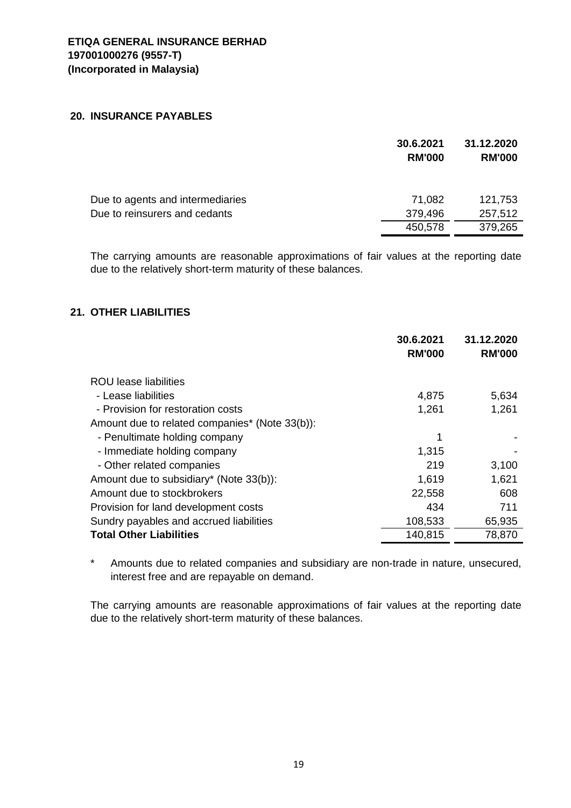#### **20. INSURANCE PAYABLES**

|                                  | 30.6.2021<br><b>RM'000</b> | 31.12.2020<br><b>RM'000</b> |
|----------------------------------|----------------------------|-----------------------------|
| Due to agents and intermediaries | 71,082                     | 121,753                     |
| Due to reinsurers and cedants    | 379,496<br>450,578         | 257,512<br>379,265          |

The carrying amounts are reasonable approximations of fair values at the reporting date due to the relatively short-term maturity of these balances.

## **21. OTHER LIABILITIES**

|                                                | 30.6.2021<br><b>RM'000</b> | 31.12.2020<br><b>RM'000</b> |
|------------------------------------------------|----------------------------|-----------------------------|
| ROU lease liabilities                          |                            |                             |
| - Lease liabilities                            | 4,875                      | 5,634                       |
| - Provision for restoration costs              | 1,261                      | 1,261                       |
| Amount due to related companies* (Note 33(b)): |                            |                             |
| - Penultimate holding company                  | 1                          |                             |
| - Immediate holding company                    | 1,315                      |                             |
| - Other related companies                      | 219                        | 3,100                       |
| Amount due to subsidiary* (Note 33(b)):        | 1,619                      | 1,621                       |
| Amount due to stockbrokers                     | 22,558                     | 608                         |
| Provision for land development costs           | 434                        | 711                         |
| Sundry payables and accrued liabilities        | 108,533                    | 65,935                      |
| <b>Total Other Liabilities</b>                 | 140,815                    | 78,870                      |
|                                                |                            |                             |

\* Amounts due to related companies and subsidiary are non-trade in nature, unsecured, interest free and are repayable on demand.

The carrying amounts are reasonable approximations of fair values at the reporting date due to the relatively short-term maturity of these balances.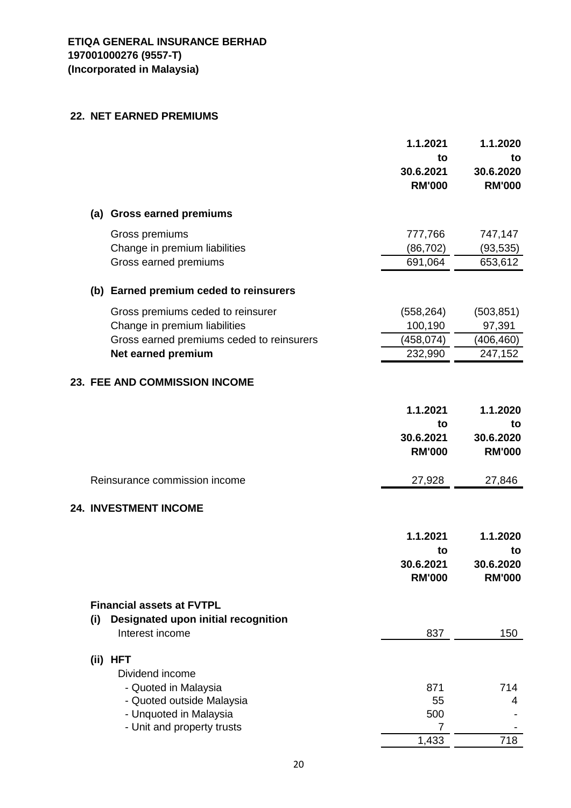#### **22. NET EARNED PREMIUMS**

|     |                                           | 1.1.2021                   | 1.1.2020                   |
|-----|-------------------------------------------|----------------------------|----------------------------|
|     |                                           | to                         | to                         |
|     |                                           | 30.6.2021<br><b>RM'000</b> | 30.6.2020<br><b>RM'000</b> |
|     | (a) Gross earned premiums                 |                            |                            |
|     | Gross premiums                            | 777,766                    | 747,147                    |
|     | Change in premium liabilities             | (86, 702)                  | (93, 535)                  |
|     | Gross earned premiums                     | 691,064                    | 653,612                    |
|     | (b) Earned premium ceded to reinsurers    |                            |                            |
|     | Gross premiums ceded to reinsurer         | (558, 264)                 | (503, 851)                 |
|     | Change in premium liabilities             | 100,190                    | 97,391                     |
|     | Gross earned premiums ceded to reinsurers | (458, 074)                 | (406, 460)                 |
|     | Net earned premium                        | 232,990                    | 247,152                    |
|     | <b>23. FEE AND COMMISSION INCOME</b>      |                            |                            |
|     |                                           | 1.1.2021                   | 1.1.2020                   |
|     |                                           | to                         | to                         |
|     |                                           | 30.6.2021                  | 30.6.2020                  |
|     |                                           | <b>RM'000</b>              | <b>RM'000</b>              |
|     | Reinsurance commission income             | 27,928                     | 27,846                     |
|     | <b>24. INVESTMENT INCOME</b>              |                            |                            |
|     |                                           | 1.1.2021                   | 1.1.2020                   |
|     |                                           | to                         | to                         |
|     |                                           | 30.6.2021                  | 30.6.2020                  |
|     |                                           | <b>RM'000</b>              | <b>RM'000</b>              |
|     | <b>Financial assets at FVTPL</b>          |                            |                            |
| (i) | Designated upon initial recognition       |                            |                            |
|     | Interest income                           | 837                        | 150                        |
|     | (ii) HFT                                  |                            |                            |
|     | Dividend income                           |                            |                            |
|     | - Quoted in Malaysia                      | 871                        | 714                        |
|     | - Quoted outside Malaysia                 | 55                         | 4                          |
|     | - Unquoted in Malaysia                    | 500                        |                            |
|     | - Unit and property trusts                | 7                          |                            |
|     |                                           | 1,433                      | 718                        |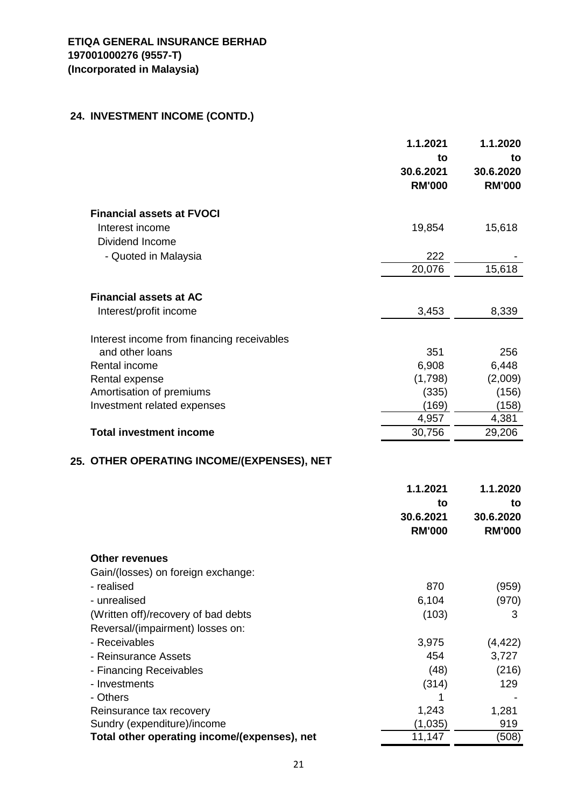# **ETIQA GENERAL INSURANCE BERHAD 197001000276 (9557-T) (Incorporated in Malaysia)**

# **24. INVESTMENT INCOME (CONTD.)**

|                                              | 1.1.2021                   | 1.1.2020                   |
|----------------------------------------------|----------------------------|----------------------------|
|                                              | to                         | to                         |
|                                              | 30.6.2021<br><b>RM'000</b> | 30.6.2020<br><b>RM'000</b> |
|                                              |                            |                            |
| <b>Financial assets at FVOCI</b>             |                            |                            |
| Interest income                              | 19,854                     | 15,618                     |
| Dividend Income                              |                            |                            |
| - Quoted in Malaysia                         | 222                        |                            |
|                                              | 20,076                     | 15,618                     |
|                                              |                            |                            |
| <b>Financial assets at AC</b>                |                            |                            |
| Interest/profit income                       | 3,453                      | 8,339                      |
| Interest income from financing receivables   |                            |                            |
| and other loans                              | 351                        | 256                        |
| Rental income                                | 6,908                      | 6,448                      |
| Rental expense                               | (1,798)                    | (2,009)                    |
| Amortisation of premiums                     | (335)                      | (156)                      |
| Investment related expenses                  | (169)                      | (158)                      |
|                                              | 4,957                      | 4,381                      |
| <b>Total investment income</b>               | 30,756                     | 29,206                     |
| 25. OTHER OPERATING INCOME/(EXPENSES), NET   |                            |                            |
|                                              | 1.1.2021                   | 1.1.2020                   |
|                                              | to                         | to                         |
|                                              | 30.6.2021                  | 30.6.2020                  |
|                                              | <b>RM'000</b>              | <b>RM'000</b>              |
| <b>Other revenues</b>                        |                            |                            |
| Gain/(losses) on foreign exchange:           |                            |                            |
| - realised                                   | 870                        | (959)                      |
| - unrealised                                 | 6,104                      | (970)                      |
| (Written off)/recovery of bad debts          | (103)                      | 3                          |
| Reversal/(impairment) losses on:             |                            |                            |
| - Receivables                                | 3,975                      | (4, 422)                   |
| - Reinsurance Assets                         | 454                        | 3,727                      |
| - Financing Receivables                      | (48)                       | (216)                      |
| - Investments                                | (314)                      | 129                        |
| - Others                                     | 1                          |                            |
| Reinsurance tax recovery                     | 1,243                      | 1,281                      |
| Sundry (expenditure)/income                  | (1,035)                    | 919                        |
| Total other operating income/(expenses), net | 11,147                     | (508)                      |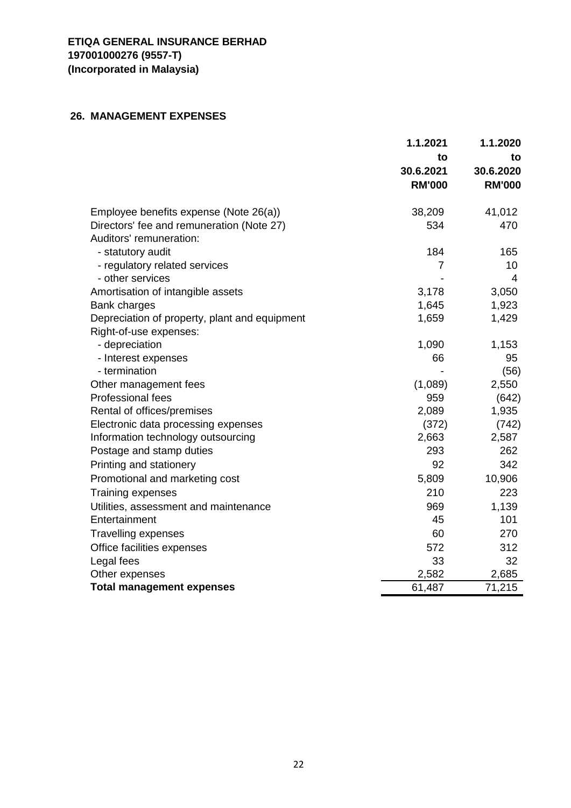# **26. MANAGEMENT EXPENSES**

|                                               | 1.1.2021      | 1.1.2020      |
|-----------------------------------------------|---------------|---------------|
|                                               | to            | to            |
|                                               | 30.6.2021     | 30.6.2020     |
|                                               | <b>RM'000</b> | <b>RM'000</b> |
| Employee benefits expense (Note 26(a))        | 38,209        | 41,012        |
| Directors' fee and remuneration (Note 27)     | 534           | 470           |
| Auditors' remuneration:                       |               |               |
| - statutory audit                             | 184           | 165           |
| - regulatory related services                 | 7             | 10            |
| - other services                              |               | 4             |
| Amortisation of intangible assets             | 3,178         | 3,050         |
| <b>Bank charges</b>                           | 1,645         | 1,923         |
| Depreciation of property, plant and equipment | 1,659         | 1,429         |
| Right-of-use expenses:                        |               |               |
| - depreciation                                | 1,090         | 1,153         |
| - Interest expenses                           | 66            | 95            |
| - termination                                 |               | (56)          |
| Other management fees                         | (1,089)       | 2,550         |
| Professional fees                             | 959           | (642)         |
| Rental of offices/premises                    | 2,089         | 1,935         |
| Electronic data processing expenses           | (372)         | (742)         |
| Information technology outsourcing            | 2,663         | 2,587         |
| Postage and stamp duties                      | 293           | 262           |
| Printing and stationery                       | 92            | 342           |
| Promotional and marketing cost                | 5,809         | 10,906        |
| <b>Training expenses</b>                      | 210           | 223           |
| Utilities, assessment and maintenance         | 969           | 1,139         |
| Entertainment                                 | 45            | 101           |
| <b>Travelling expenses</b>                    | 60            | 270           |
| Office facilities expenses                    | 572           | 312           |
| Legal fees                                    | 33            | 32            |
| Other expenses                                | 2,582         | 2,685         |
| <b>Total management expenses</b>              | 61,487        | 71,215        |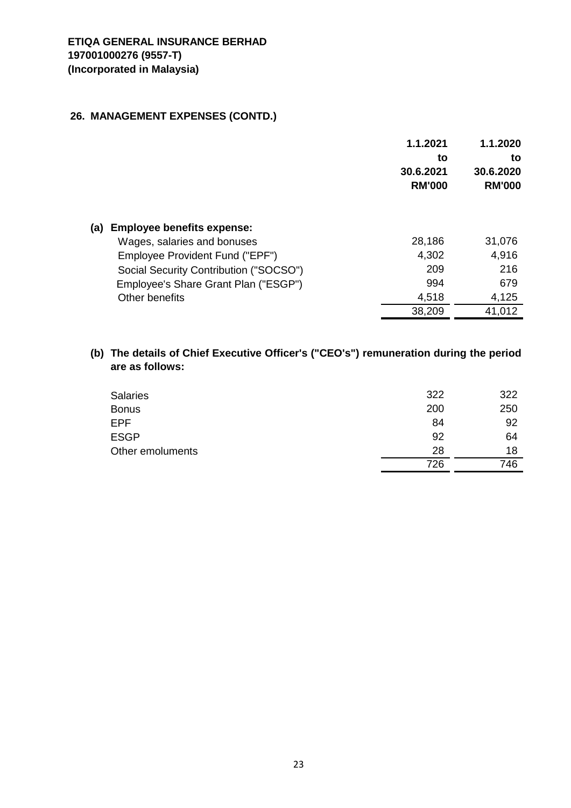# **26. MANAGEMENT EXPENSES (CONTD.)**

|                                          | 1.1.2021<br>to<br>30.6.2021<br><b>RM'000</b> | 1.1.2020<br>to<br>30.6.2020<br><b>RM'000</b> |
|------------------------------------------|----------------------------------------------|----------------------------------------------|
| <b>Employee benefits expense:</b><br>(a) |                                              |                                              |
| Wages, salaries and bonuses              | 28,186                                       | 31,076                                       |
| Employee Provident Fund ("EPF")          | 4,302                                        | 4,916                                        |
| Social Security Contribution ("SOCSO")   | 209                                          | 216                                          |
| Employee's Share Grant Plan ("ESGP")     | 994                                          | 679                                          |
| Other benefits                           | 4,518                                        | 4,125                                        |
|                                          | 38,209                                       | 41,012                                       |

## **(b) The details of Chief Executive Officer's ("CEO's") remuneration during the period are as follows:**

| <b>Salaries</b>  | 322 | 322 |
|------------------|-----|-----|
| <b>Bonus</b>     | 200 | 250 |
| <b>EPF</b>       | 84  | 92  |
| <b>ESGP</b>      | 92  | 64  |
| Other emoluments | 28  | 18  |
|                  | 726 | 746 |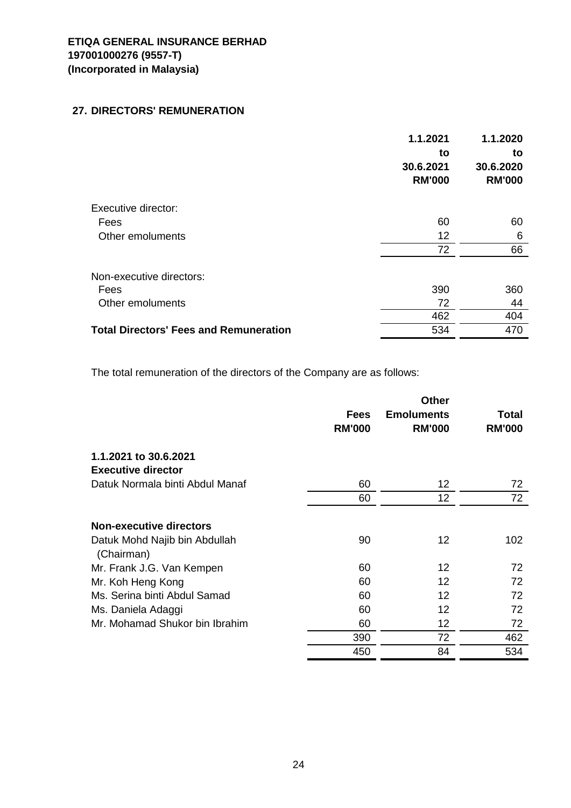## **27. DIRECTORS' REMUNERATION**

|                                               | 1.1.2021<br>to<br>30.6.2021<br><b>RM'000</b> | 1.1.2020<br>to<br>30.6.2020<br><b>RM'000</b> |
|-----------------------------------------------|----------------------------------------------|----------------------------------------------|
| Executive director:                           |                                              |                                              |
| Fees                                          | 60                                           | 60                                           |
| Other emoluments                              | 12                                           | 6                                            |
|                                               | 72                                           | 66                                           |
| Non-executive directors:                      |                                              |                                              |
| Fees                                          | 390                                          | 360                                          |
| Other emoluments                              | 72                                           | 44                                           |
|                                               | 462                                          | 404                                          |
| <b>Total Directors' Fees and Remuneration</b> | 534                                          | 470                                          |
|                                               |                                              |                                              |

The total remuneration of the directors of the Company are as follows:

|                                             | <b>Fees</b><br><b>RM'000</b> | <b>Other</b><br><b>Emoluments</b><br><b>RM'000</b> | Total<br><b>RM'000</b> |
|---------------------------------------------|------------------------------|----------------------------------------------------|------------------------|
| 1.1.2021 to 30.6.2021                       |                              |                                                    |                        |
| <b>Executive director</b>                   |                              |                                                    |                        |
| Datuk Normala binti Abdul Manaf             | 60                           | 12                                                 | 72                     |
|                                             | 60                           | 12                                                 | 72                     |
| <b>Non-executive directors</b>              |                              |                                                    |                        |
| Datuk Mohd Najib bin Abdullah<br>(Chairman) | 90                           | 12                                                 | 102                    |
| Mr. Frank J.G. Van Kempen                   | 60                           | 12                                                 | 72                     |
| Mr. Koh Heng Kong                           | 60                           | 12                                                 | 72                     |
| Ms. Serina binti Abdul Samad                | 60                           | 12                                                 | 72                     |
| Ms. Daniela Adaggi                          | 60                           | 12                                                 | 72                     |
| Mr. Mohamad Shukor bin Ibrahim              | 60                           | 12                                                 | 72                     |
|                                             | 390                          | 72                                                 | 462                    |
|                                             | 450                          | 84                                                 | 534                    |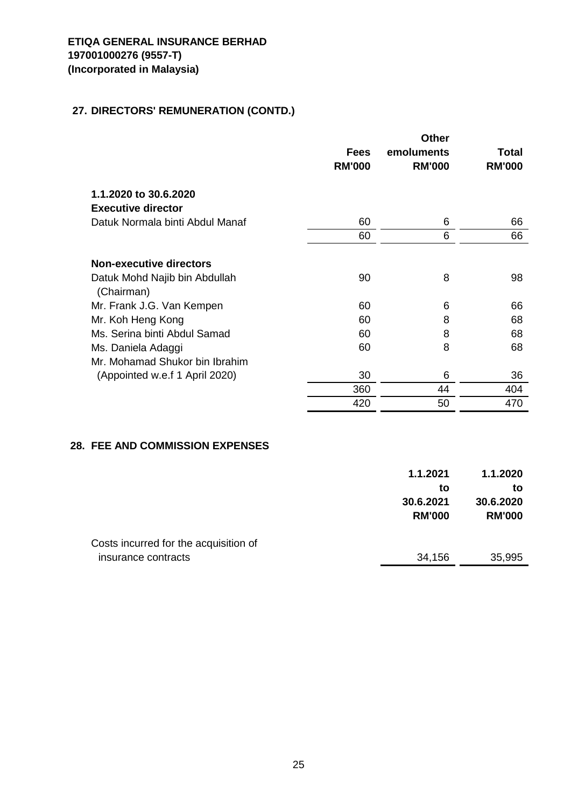# **27. DIRECTORS' REMUNERATION (CONTD.)**

|               | <b>Other</b>  |               |
|---------------|---------------|---------------|
| <b>Fees</b>   | emoluments    | Total         |
| <b>RM'000</b> | <b>RM'000</b> | <b>RM'000</b> |
|               |               |               |
|               |               |               |
| 60            | 6             | 66            |
| 60            | 6             | 66            |
|               |               |               |
|               |               |               |
| 90            | 8             | 98            |
|               |               |               |
| 60            | 6             | 66            |
| 60            | 8             | 68            |
| 60            | 8             | 68            |
| 60            | 8             | 68            |
|               |               |               |
| 30            | 6             | 36            |
| 360           | 44            | 404           |
| 420           | 50            | 470           |
|               |               |               |

#### **28. FEE AND COMMISSION EXPENSES**

|                                       | 1.1.2021<br>to<br>30.6.2021<br><b>RM'000</b> | 1.1.2020<br>to<br>30.6.2020<br><b>RM'000</b> |
|---------------------------------------|----------------------------------------------|----------------------------------------------|
| Costs incurred for the acquisition of |                                              |                                              |
| insurance contracts                   | 34,156                                       | 35,995                                       |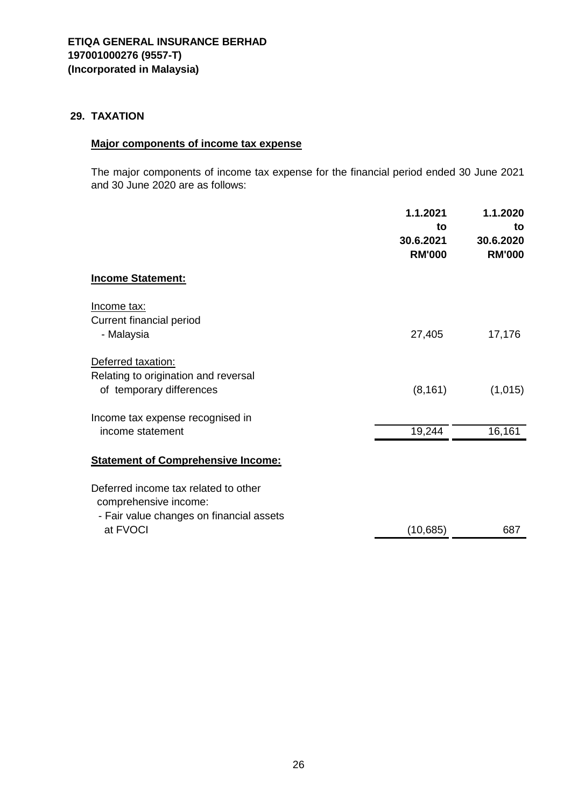## **29. TAXATION**

# **Major components of income tax expense**

The major components of income tax expense for the financial period ended 30 June 2021 and 30 June 2020 are as follows:

|                                                                                                                       | 1.1.2021<br>to<br>30.6.2021<br><b>RM'000</b> | 1.1.2020<br>to<br>30.6.2020<br><b>RM'000</b> |
|-----------------------------------------------------------------------------------------------------------------------|----------------------------------------------|----------------------------------------------|
| <b>Income Statement:</b>                                                                                              |                                              |                                              |
| Income tax:<br>Current financial period<br>- Malaysia                                                                 | 27,405                                       | 17,176                                       |
| Deferred taxation:<br>Relating to origination and reversal<br>of temporary differences                                | (8, 161)                                     | (1,015)                                      |
| Income tax expense recognised in<br>income statement                                                                  | 19,244                                       | 16,161                                       |
| <b>Statement of Comprehensive Income:</b>                                                                             |                                              |                                              |
| Deferred income tax related to other<br>comprehensive income:<br>- Fair value changes on financial assets<br>at FVOCI | (10, 685)                                    | 687                                          |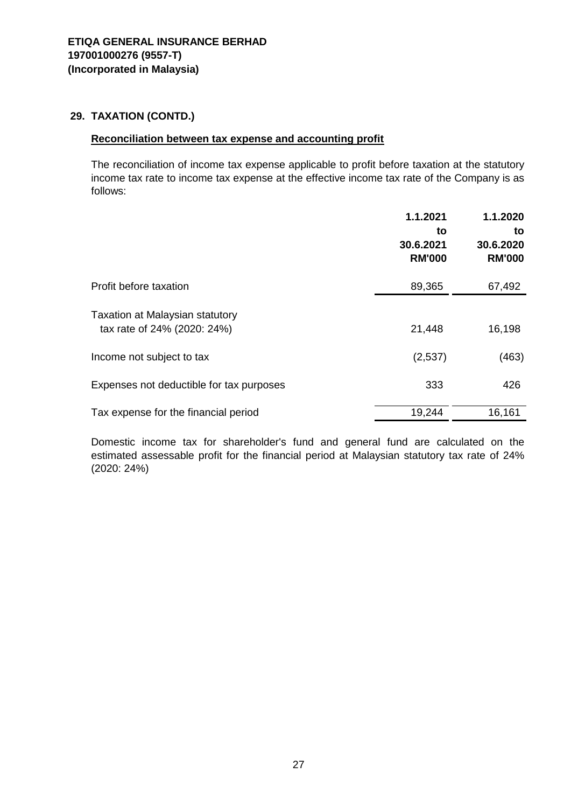# **29. TAXATION (CONTD.)**

#### **Reconciliation between tax expense and accounting profit**

The reconciliation of income tax expense applicable to profit before taxation at the statutory income tax rate to income tax expense at the effective income tax rate of the Company is as follows:

|                                                                       | 1.1.2021<br>to<br>30.6.2021<br><b>RM'000</b> | 1.1.2020<br>to<br>30.6.2020<br><b>RM'000</b> |
|-----------------------------------------------------------------------|----------------------------------------------|----------------------------------------------|
| Profit before taxation                                                | 89,365                                       | 67,492                                       |
| <b>Taxation at Malaysian statutory</b><br>tax rate of 24% (2020: 24%) | 21,448                                       | 16,198                                       |
| Income not subject to tax                                             | (2,537)                                      | (463)                                        |
| Expenses not deductible for tax purposes                              | 333                                          | 426                                          |
| Tax expense for the financial period                                  | 19,244                                       | 16,161                                       |

Domestic income tax for shareholder's fund and general fund are calculated on the estimated assessable profit for the financial period at Malaysian statutory tax rate of 24% (2020: 24%)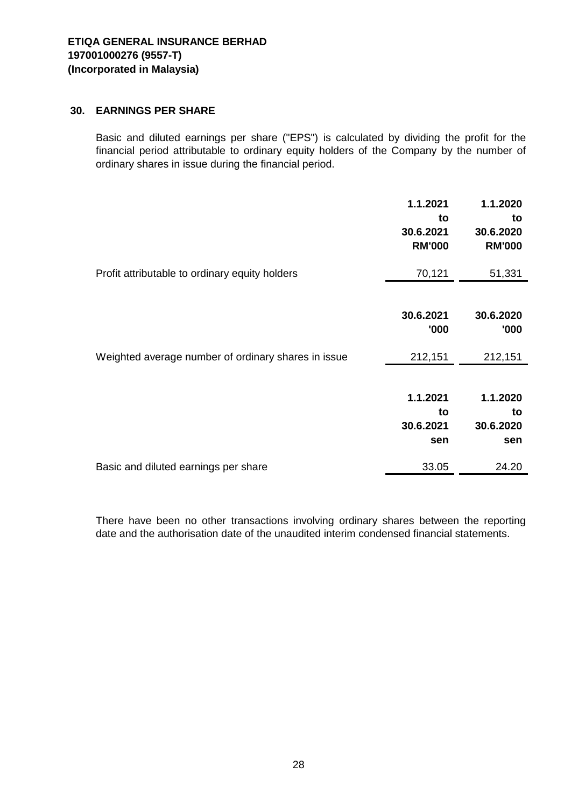## **30. EARNINGS PER SHARE**

Basic and diluted earnings per share ("EPS") is calculated by dividing the profit for the financial period attributable to ordinary equity holders of the Company by the number of ordinary shares in issue during the financial period.

|                                                     | 1.1.2021<br>to<br>30.6.2021<br><b>RM'000</b> | 1.1.2020<br>to<br>30.6.2020<br><b>RM'000</b> |
|-----------------------------------------------------|----------------------------------------------|----------------------------------------------|
| Profit attributable to ordinary equity holders      | 70,121                                       | 51,331                                       |
|                                                     | 30.6.2021<br>'000                            | 30.6.2020<br>'000                            |
| Weighted average number of ordinary shares in issue | 212,151                                      | 212,151                                      |
|                                                     | 1.1.2021<br>to<br>30.6.2021<br>sen           | 1.1.2020<br>to<br>30.6.2020<br>sen           |
| Basic and diluted earnings per share                | 33.05                                        | 24.20                                        |

There have been no other transactions involving ordinary shares between the reporting date and the authorisation date of the unaudited interim condensed financial statements.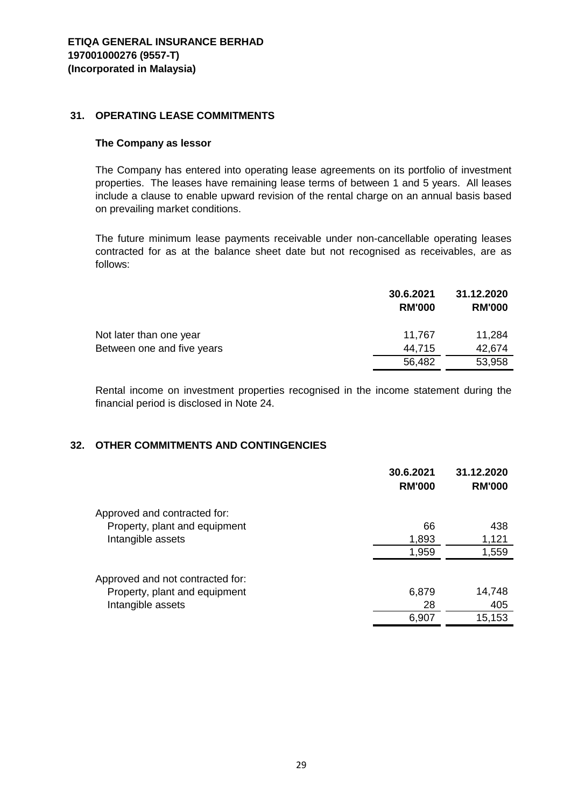#### **31. OPERATING LEASE COMMITMENTS**

#### **The Company as lessor**

The Company has entered into operating lease agreements on its portfolio of investment properties. The leases have remaining lease terms of between 1 and 5 years. All leases include a clause to enable upward revision of the rental charge on an annual basis based on prevailing market conditions.

The future minimum lease payments receivable under non-cancellable operating leases contracted for as at the balance sheet date but not recognised as receivables, are as follows:

|                            | 30.6.2021<br><b>RM'000</b> | 31.12.2020<br><b>RM'000</b> |
|----------------------------|----------------------------|-----------------------------|
| Not later than one year    | 11,767                     | 11,284                      |
| Between one and five years | 44.715                     | 42,674                      |
|                            | 56,482                     | 53,958                      |

Rental income on investment properties recognised in the income statement during the financial period is disclosed in Note 24.

#### **32. OTHER COMMITMENTS AND CONTINGENCIES**

|                                  | 30.6.2021<br><b>RM'000</b> | 31.12.2020<br><b>RM'000</b> |
|----------------------------------|----------------------------|-----------------------------|
| Approved and contracted for:     |                            |                             |
| Property, plant and equipment    | 66                         | 438                         |
| Intangible assets                | 1,893                      | 1,121                       |
|                                  | 1,959                      | 1,559                       |
| Approved and not contracted for: |                            |                             |
| Property, plant and equipment    | 6,879                      | 14,748                      |
| Intangible assets                | 28                         | 405                         |
|                                  | 6,907                      | 15,153                      |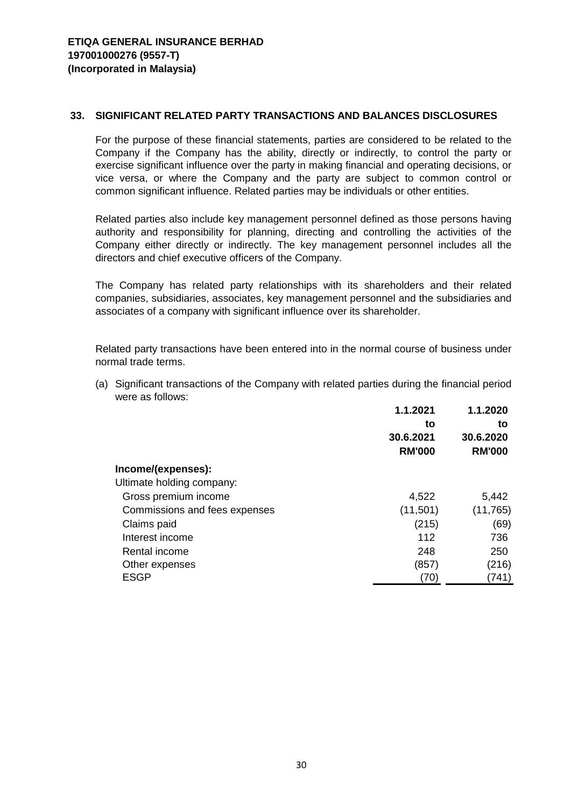#### **33. SIGNIFICANT RELATED PARTY TRANSACTIONS AND BALANCES DISCLOSURES**

For the purpose of these financial statements, parties are considered to be related to the Company if the Company has the ability, directly or indirectly, to control the party or exercise significant influence over the party in making financial and operating decisions, or vice versa, or where the Company and the party are subject to common control or common significant influence. Related parties may be individuals or other entities.

Related parties also include key management personnel defined as those persons having authority and responsibility for planning, directing and controlling the activities of the Company either directly or indirectly. The key management personnel includes all the directors and chief executive officers of the Company.

The Company has related party relationships with its shareholders and their related companies, subsidiaries, associates, key management personnel and the subsidiaries and associates of a company with significant influence over its shareholder.

Related party transactions have been entered into in the normal course of business under normal trade terms.

| were as follows:              |               |               |
|-------------------------------|---------------|---------------|
|                               | 1.1.2021      | 1.1.2020      |
|                               | to            | to            |
|                               | 30.6.2021     | 30.6.2020     |
|                               | <b>RM'000</b> | <b>RM'000</b> |
| Income/(expenses):            |               |               |
| Ultimate holding company:     |               |               |
| Gross premium income          | 4,522         | 5,442         |
| Commissions and fees expenses | (11,501)      | (11, 765)     |
| Claims paid                   | (215)         | (69)          |
| Interest income               | 112           | 736           |
| Rental income                 | 248           | 250           |
| Other expenses                | (857)         | (216)         |
| <b>ESGP</b>                   | (70)          | (741)         |

(a) Significant transactions of the Company with related parties during the financial period were as follows: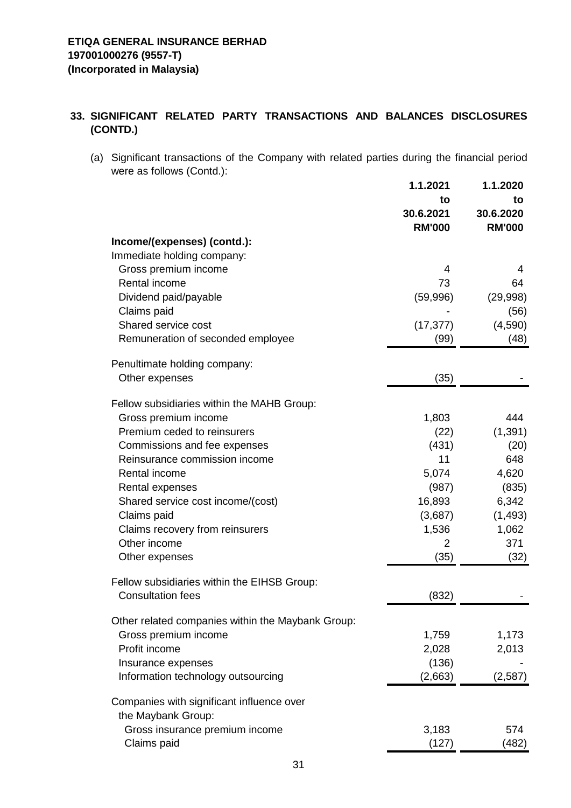## **33. SIGNIFICANT RELATED PARTY TRANSACTIONS AND BALANCES DISCLOSURES (CONTD.)**

(a) Significant transactions of the Company with related parties during the financial period were as follows (Contd.):

|                                                                 | 1.1.2021      | 1.1.2020      |
|-----------------------------------------------------------------|---------------|---------------|
|                                                                 | to            | to            |
|                                                                 | 30.6.2021     | 30.6.2020     |
|                                                                 | <b>RM'000</b> | <b>RM'000</b> |
| Income/(expenses) (contd.):                                     |               |               |
| Immediate holding company:                                      |               |               |
| Gross premium income                                            | 4             | 4             |
| Rental income                                                   | 73            | 64            |
| Dividend paid/payable                                           | (59,996)      | (29, 998)     |
| Claims paid                                                     |               | (56)          |
| Shared service cost                                             | (17, 377)     | (4,590)       |
| Remuneration of seconded employee                               | (99)          | (48)          |
| Penultimate holding company:                                    |               |               |
| Other expenses                                                  | (35)          |               |
| Fellow subsidiaries within the MAHB Group:                      |               |               |
| Gross premium income                                            | 1,803         | 444           |
| Premium ceded to reinsurers                                     | (22)          | (1, 391)      |
| Commissions and fee expenses                                    | (431)         | (20)          |
| Reinsurance commission income                                   | 11            | 648           |
| Rental income                                                   | 5,074         | 4,620         |
| Rental expenses                                                 | (987)         | (835)         |
| Shared service cost income/(cost)                               | 16,893        | 6,342         |
| Claims paid                                                     | (3,687)       | (1, 493)      |
| Claims recovery from reinsurers                                 | 1,536         | 1,062         |
| Other income                                                    | 2             | 371           |
| Other expenses                                                  | (35)          | (32)          |
| Fellow subsidiaries within the EIHSB Group:                     |               |               |
| <b>Consultation fees</b>                                        | (832)         |               |
| Other related companies within the Maybank Group:               |               |               |
| Gross premium income                                            | 1,759         | 1,173         |
| Profit income                                                   | 2,028         | 2,013         |
| Insurance expenses                                              | (136)         |               |
| Information technology outsourcing                              | (2,663)       | (2,587)       |
| Companies with significant influence over<br>the Maybank Group: |               |               |
| Gross insurance premium income                                  | 3,183         | 574           |
| Claims paid                                                     | (127)         | (482)         |
|                                                                 |               |               |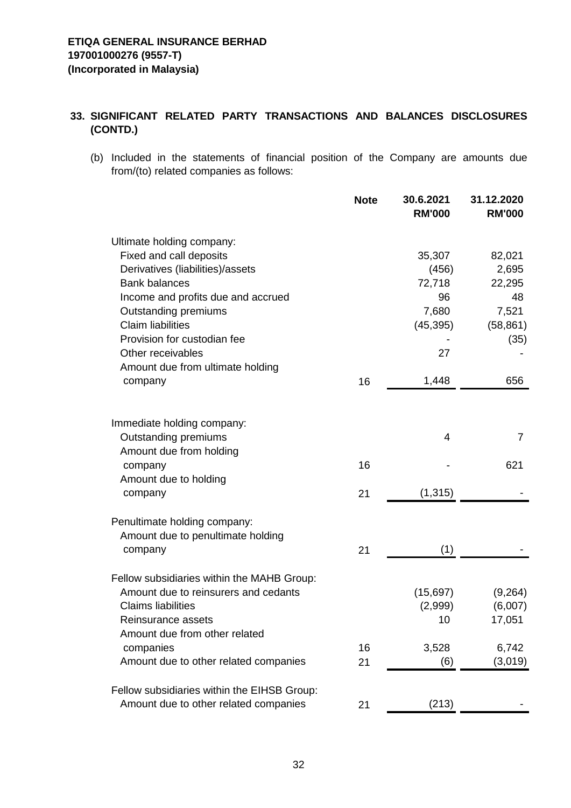## **33. SIGNIFICANT RELATED PARTY TRANSACTIONS AND BALANCES DISCLOSURES (CONTD.)**

(b) Included in the statements of financial position of the Company are amounts due from/(to) related companies as follows:

|                                             | <b>Note</b> | 30.6.2021<br><b>RM'000</b> | 31.12.2020<br><b>RM'000</b> |
|---------------------------------------------|-------------|----------------------------|-----------------------------|
| Ultimate holding company:                   |             |                            |                             |
| Fixed and call deposits                     |             | 35,307                     | 82,021                      |
| Derivatives (liabilities)/assets            |             | (456)                      | 2,695                       |
| <b>Bank balances</b>                        |             | 72,718                     | 22,295                      |
| Income and profits due and accrued          |             | 96                         | 48                          |
| <b>Outstanding premiums</b>                 |             | 7,680                      | 7,521                       |
| <b>Claim liabilities</b>                    |             | (45, 395)                  | (58, 861)                   |
| Provision for custodian fee                 |             |                            | (35)                        |
| Other receivables                           |             | 27                         |                             |
| Amount due from ultimate holding            |             |                            | 656                         |
| company                                     | 16          | 1,448                      |                             |
|                                             |             |                            |                             |
| Immediate holding company:                  |             |                            |                             |
| Outstanding premiums                        |             | 4                          | $\overline{7}$              |
| Amount due from holding                     |             |                            |                             |
| company                                     | 16          |                            | 621                         |
| Amount due to holding                       |             |                            |                             |
| company                                     | 21          | (1, 315)                   |                             |
| Penultimate holding company:                |             |                            |                             |
| Amount due to penultimate holding           |             |                            |                             |
| company                                     | 21          | (1)                        |                             |
| Fellow subsidiaries within the MAHB Group:  |             |                            |                             |
| Amount due to reinsurers and cedants        |             | (15,697)                   | (9,264)                     |
| <b>Claims liabilities</b>                   |             | (2,999)                    | (6,007)                     |
| Reinsurance assets                          |             | 10                         | 17,051                      |
| Amount due from other related               |             |                            |                             |
| companies                                   | 16          | 3,528                      | 6,742                       |
| Amount due to other related companies       | 21          | (6)                        | (3,019)                     |
| Fellow subsidiaries within the EIHSB Group: |             |                            |                             |
| Amount due to other related companies       | 21          | (213)                      |                             |
|                                             |             |                            |                             |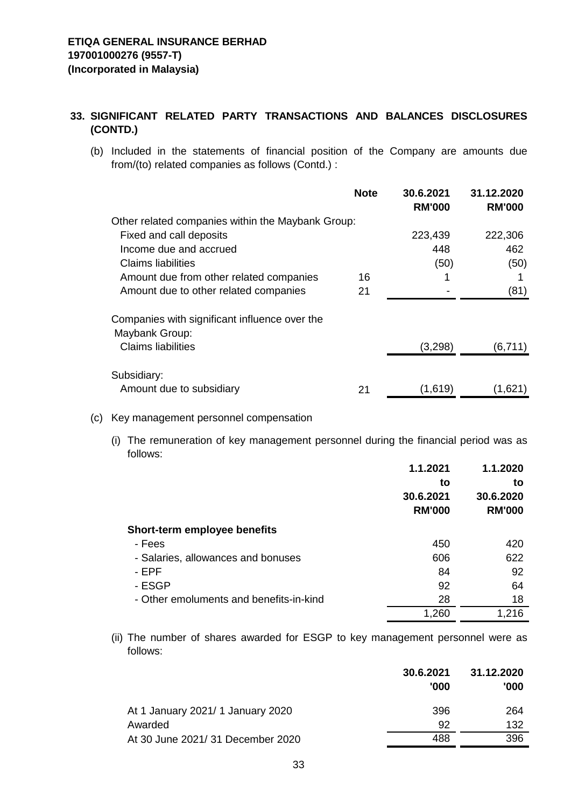## **33. SIGNIFICANT RELATED PARTY TRANSACTIONS AND BALANCES DISCLOSURES (CONTD.)**

(b) Included in the statements of financial position of the Company are amounts due from/(to) related companies as follows (Contd.) :

|                                                   | <b>Note</b> | 30.6.2021<br><b>RM'000</b> | 31.12.2020<br><b>RM'000</b> |
|---------------------------------------------------|-------------|----------------------------|-----------------------------|
| Other related companies within the Maybank Group: |             |                            |                             |
| Fixed and call deposits                           |             | 223,439                    | 222,306                     |
| Income due and accrued                            |             | 448                        | 462                         |
| Claims liabilities                                |             | (50)                       | (50)                        |
| Amount due from other related companies           | 16          | 1                          |                             |
| Amount due to other related companies             | 21          |                            | (81)                        |
| Companies with significant influence over the     |             |                            |                             |
| Maybank Group:                                    |             |                            |                             |
| <b>Claims liabilities</b>                         |             | (3,298)                    | (6,711)                     |
| Subsidiary:                                       |             |                            |                             |
| Amount due to subsidiary                          | 21          | (1,619)                    | (1,621)                     |

#### (c) Key management personnel compensation

(i) The remuneration of key management personnel during the financial period was as follows:

|                                         | 1.1.2021      | 1.1.2020      |
|-----------------------------------------|---------------|---------------|
|                                         | to            | to            |
|                                         | 30.6.2021     | 30.6.2020     |
|                                         | <b>RM'000</b> | <b>RM'000</b> |
| Short-term employee benefits            |               |               |
| - Fees                                  | 450           | 420           |
| - Salaries, allowances and bonuses      | 606           | 622           |
| - EPF                                   | 84            | 92            |
| - ESGP                                  | 92            | 64            |
| - Other emoluments and benefits-in-kind | 28            | 18            |
|                                         | 1,260         | 1,216         |

(ii) The number of shares awarded for ESGP to key management personnel were as follows:

|                                   | 30.6.2021<br>'000 | 31.12.2020<br>'000 |
|-----------------------------------|-------------------|--------------------|
| At 1 January 2021/ 1 January 2020 | 396               | 264                |
| Awarded                           | 92                | 132                |
| At 30 June 2021/ 31 December 2020 | 488               | 396                |
|                                   |                   |                    |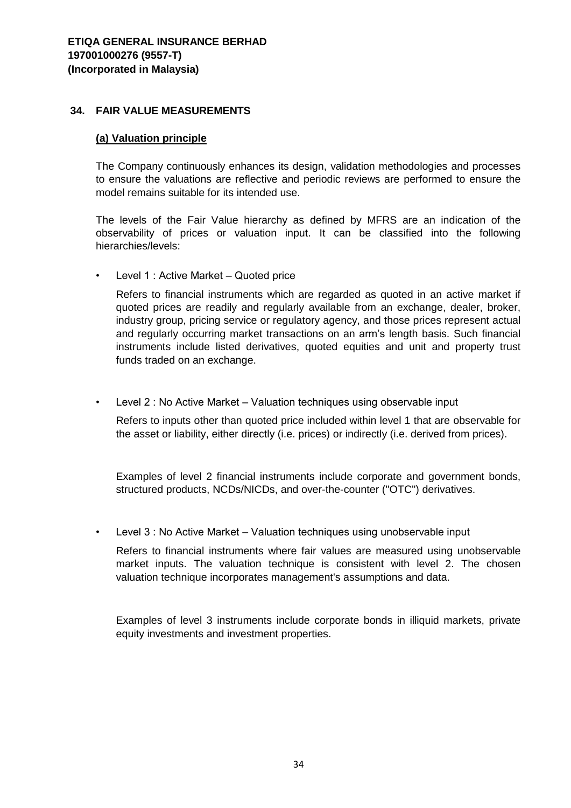#### **34. FAIR VALUE MEASUREMENTS**

#### **(a) Valuation principle**

The Company continuously enhances its design, validation methodologies and processes to ensure the valuations are reflective and periodic reviews are performed to ensure the model remains suitable for its intended use.

The levels of the Fair Value hierarchy as defined by MFRS are an indication of the observability of prices or valuation input. It can be classified into the following hierarchies/levels:

• Level 1 : Active Market – Quoted price

Refers to financial instruments which are regarded as quoted in an active market if quoted prices are readily and regularly available from an exchange, dealer, broker, industry group, pricing service or regulatory agency, and those prices represent actual and regularly occurring market transactions on an arm's length basis. Such financial instruments include listed derivatives, quoted equities and unit and property trust funds traded on an exchange.

• Level 2 : No Active Market – Valuation techniques using observable input

Refers to inputs other than quoted price included within level 1 that are observable for the asset or liability, either directly (i.e. prices) or indirectly (i.e. derived from prices).

Examples of level 2 financial instruments include corporate and government bonds, structured products, NCDs/NICDs, and over-the-counter ("OTC") derivatives.

• Level 3 : No Active Market – Valuation techniques using unobservable input

Refers to financial instruments where fair values are measured using unobservable market inputs. The valuation technique is consistent with level 2. The chosen valuation technique incorporates management's assumptions and data.

Examples of level 3 instruments include corporate bonds in illiquid markets, private equity investments and investment properties.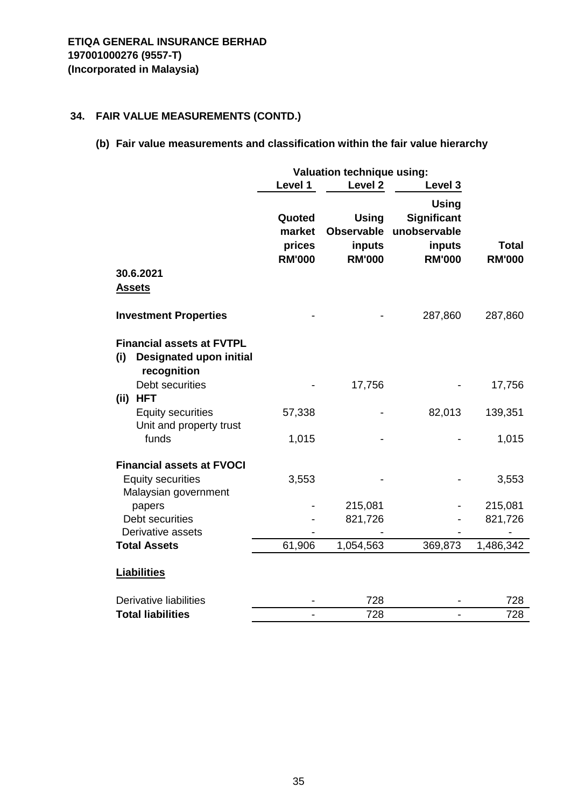# **(b) Fair value measurements and classification within the fair value hierarchy**

|                                                                                          | Valuation technique using:                  |                                                              |                                                                        |                               |
|------------------------------------------------------------------------------------------|---------------------------------------------|--------------------------------------------------------------|------------------------------------------------------------------------|-------------------------------|
|                                                                                          | Level 1                                     | Level <sub>2</sub>                                           | Level 3                                                                |                               |
|                                                                                          | Quoted<br>market<br>prices<br><b>RM'000</b> | <b>Using</b><br><b>Observable</b><br>inputs<br><b>RM'000</b> | <b>Using</b><br>Significant<br>unobservable<br>inputs<br><b>RM'000</b> | <b>Total</b><br><b>RM'000</b> |
| 30.6.2021<br><u>Assets</u>                                                               |                                             |                                                              |                                                                        |                               |
| <b>Investment Properties</b>                                                             |                                             |                                                              | 287,860                                                                | 287,860                       |
| <b>Financial assets at FVTPL</b><br><b>Designated upon initial</b><br>(i)<br>recognition |                                             |                                                              |                                                                        |                               |
| Debt securities<br>(ii) HFT                                                              |                                             | 17,756                                                       |                                                                        | 17,756                        |
| <b>Equity securities</b><br>Unit and property trust                                      | 57,338                                      |                                                              | 82,013                                                                 | 139,351                       |
| funds                                                                                    | 1,015                                       |                                                              |                                                                        | 1,015                         |
| <b>Financial assets at FVOCI</b>                                                         |                                             |                                                              |                                                                        |                               |
| <b>Equity securities</b><br>Malaysian government                                         | 3,553                                       |                                                              |                                                                        | 3,553                         |
| papers                                                                                   |                                             | 215,081                                                      |                                                                        | 215,081                       |
| Debt securities                                                                          |                                             | 821,726                                                      |                                                                        | 821,726                       |
| Derivative assets                                                                        |                                             |                                                              |                                                                        |                               |
| <b>Total Assets</b>                                                                      | 61,906                                      | 1,054,563                                                    | 369,873                                                                | 1,486,342                     |
| <b>Liabilities</b>                                                                       |                                             |                                                              |                                                                        |                               |
| <b>Derivative liabilities</b>                                                            |                                             | 728                                                          |                                                                        | 728                           |
| <b>Total liabilities</b>                                                                 | $\overline{a}$                              | 728                                                          | $\overline{a}$                                                         | 728                           |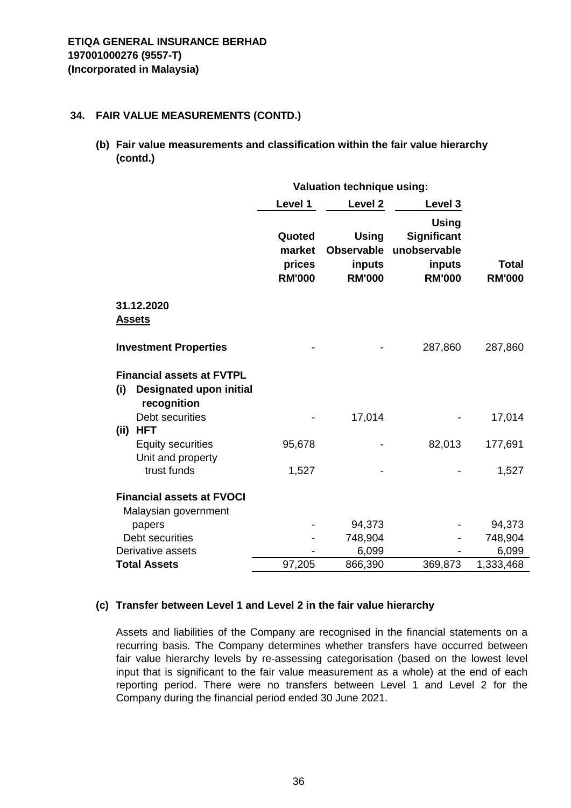**(b) Fair value measurements and classification within the fair value hierarchy (contd.)**

|                                                                                          | Valuation technique using:                  |                                                              |                                                                        |                               |
|------------------------------------------------------------------------------------------|---------------------------------------------|--------------------------------------------------------------|------------------------------------------------------------------------|-------------------------------|
|                                                                                          | Level 1                                     | Level <sub>2</sub>                                           | Level 3                                                                |                               |
|                                                                                          | Quoted<br>market<br>prices<br><b>RM'000</b> | <b>Using</b><br><b>Observable</b><br>inputs<br><b>RM'000</b> | <b>Using</b><br>Significant<br>unobservable<br>inputs<br><b>RM'000</b> | <b>Total</b><br><b>RM'000</b> |
| 31.12.2020<br><b>Assets</b>                                                              |                                             |                                                              |                                                                        |                               |
| <b>Investment Properties</b>                                                             |                                             |                                                              | 287,860                                                                | 287,860                       |
| <b>Financial assets at FVTPL</b><br>(i)<br><b>Designated upon initial</b><br>recognition |                                             |                                                              |                                                                        |                               |
| Debt securities<br><b>HFT</b><br>(iii)                                                   |                                             | 17,014                                                       |                                                                        | 17,014                        |
| <b>Equity securities</b><br>Unit and property                                            | 95,678                                      |                                                              | 82,013                                                                 | 177,691                       |
| trust funds                                                                              | 1,527                                       |                                                              |                                                                        | 1,527                         |
| <b>Financial assets at FVOCI</b>                                                         |                                             |                                                              |                                                                        |                               |
| Malaysian government                                                                     |                                             |                                                              |                                                                        |                               |
| papers                                                                                   |                                             | 94,373                                                       |                                                                        | 94,373                        |
| Debt securities                                                                          |                                             | 748,904                                                      |                                                                        | 748,904                       |
| Derivative assets                                                                        |                                             | 6,099                                                        |                                                                        | 6,099                         |
| <b>Total Assets</b>                                                                      | 97,205                                      | 866,390                                                      | 369,873                                                                | 1,333,468                     |

## **(c) Transfer between Level 1 and Level 2 in the fair value hierarchy**

Assets and liabilities of the Company are recognised in the financial statements on a recurring basis. The Company determines whether transfers have occurred between fair value hierarchy levels by re-assessing categorisation (based on the lowest level input that is significant to the fair value measurement as a whole) at the end of each reporting period. There were no transfers between Level 1 and Level 2 for the Company during the financial period ended 30 June 2021.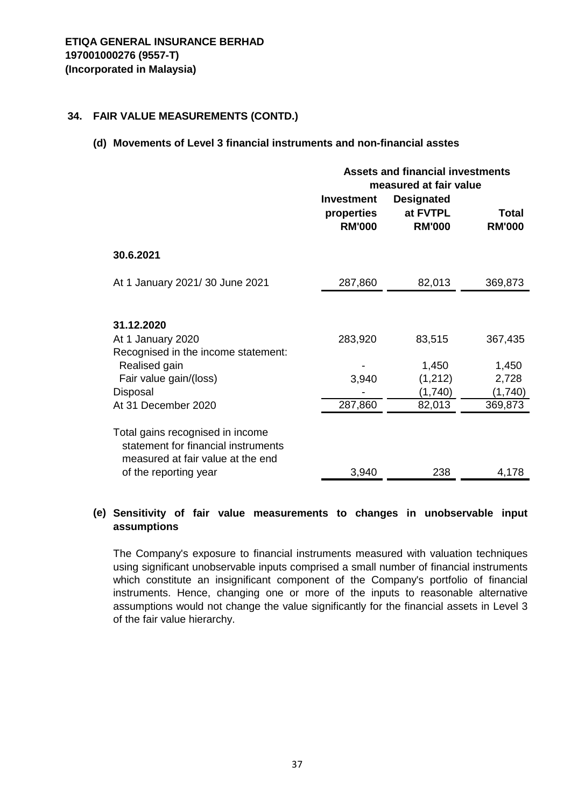#### **(d) Movements of Level 3 financial instruments and non-financial asstes**

|                                                                                                                                                      | <b>Assets and financial investments</b><br>measured at fair value<br><b>Investment</b><br><b>Designated</b><br>properties<br>at FVTPL<br>Total<br><b>RM'000</b><br><b>RM'000</b><br><b>RM'000</b> |                                                 |                                                 |
|------------------------------------------------------------------------------------------------------------------------------------------------------|---------------------------------------------------------------------------------------------------------------------------------------------------------------------------------------------------|-------------------------------------------------|-------------------------------------------------|
| 30.6.2021                                                                                                                                            |                                                                                                                                                                                                   |                                                 |                                                 |
| At 1 January 2021/30 June 2021                                                                                                                       | 287,860                                                                                                                                                                                           | 82,013                                          | 369,873                                         |
| 31.12.2020<br>At 1 January 2020<br>Recognised in the income statement:<br>Realised gain<br>Fair value gain/(loss)<br>Disposal<br>At 31 December 2020 | 283,920<br>3,940<br>287,860                                                                                                                                                                       | 83,515<br>1,450<br>(1,212)<br>(1,740)<br>82,013 | 367,435<br>1,450<br>2,728<br>(1,740)<br>369,873 |
| Total gains recognised in income<br>statement for financial instruments<br>measured at fair value at the end<br>of the reporting year                | 3,940                                                                                                                                                                                             | 238                                             | 4,178                                           |

## **(e) Sensitivity of fair value measurements to changes in unobservable input assumptions**

The Company's exposure to financial instruments measured with valuation techniques using significant unobservable inputs comprised a small number of financial instruments which constitute an insignificant component of the Company's portfolio of financial instruments. Hence, changing one or more of the inputs to reasonable alternative assumptions would not change the value significantly for the financial assets in Level 3 of the fair value hierarchy.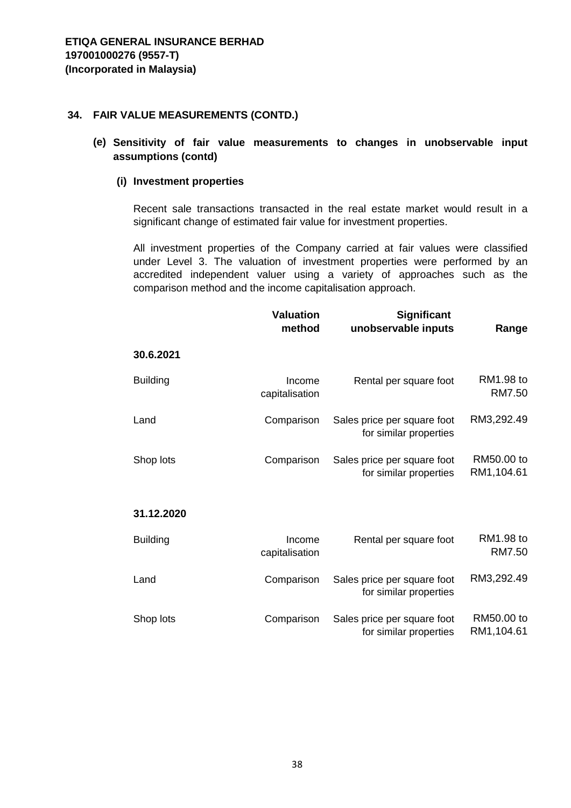**(e) Sensitivity of fair value measurements to changes in unobservable input assumptions (contd)**

#### **(i) Investment properties**

Recent sale transactions transacted in the real estate market would result in a significant change of estimated fair value for investment properties.

All investment properties of the Company carried at fair values were classified under Level 3. The valuation of investment properties were performed by an accredited independent valuer using a variety of approaches such as the comparison method and the income capitalisation approach.

|                 | <b>Valuation</b><br><b>Significant</b><br>method<br>unobservable inputs |                                                       | Range                    |  |
|-----------------|-------------------------------------------------------------------------|-------------------------------------------------------|--------------------------|--|
| 30.6.2021       |                                                                         |                                                       |                          |  |
| <b>Building</b> | Income<br>capitalisation                                                | Rental per square foot                                | RM1.98 to<br>RM7.50      |  |
| Land            | Comparison                                                              | Sales price per square foot<br>for similar properties | RM3,292.49               |  |
| Shop lots       | Comparison                                                              | Sales price per square foot<br>for similar properties | RM50.00 to<br>RM1,104.61 |  |
| 31.12.2020      |                                                                         |                                                       |                          |  |
| <b>Building</b> | Income<br>capitalisation                                                | Rental per square foot                                | RM1.98 to<br>RM7.50      |  |
| Land            | Comparison                                                              | Sales price per square foot<br>for similar properties | RM3,292.49               |  |
| Shop lots       | Comparison                                                              | Sales price per square foot<br>for similar properties | RM50.00 to<br>RM1,104.61 |  |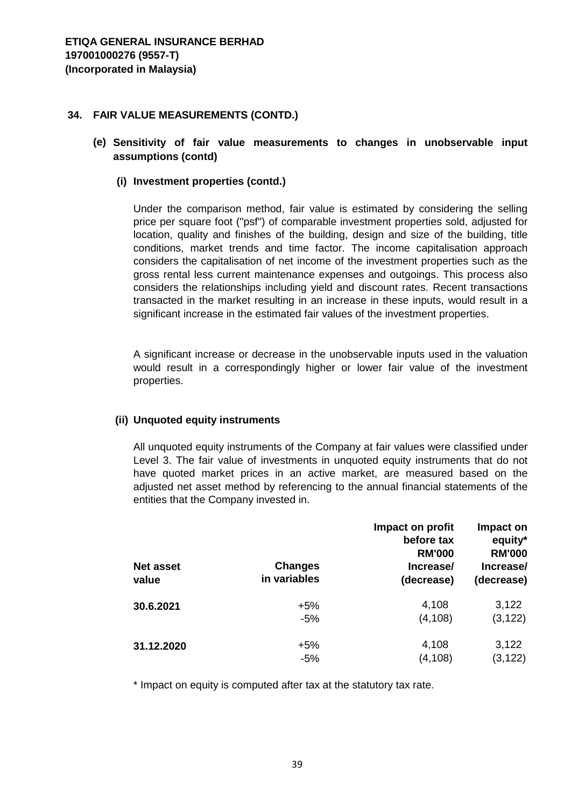**(e) Sensitivity of fair value measurements to changes in unobservable input assumptions (contd)**

#### **(i) Investment properties (contd.)**

Under the comparison method, fair value is estimated by considering the selling price per square foot ("psf") of comparable investment properties sold, adjusted for location, quality and finishes of the building, design and size of the building, title conditions, market trends and time factor. The income capitalisation approach considers the capitalisation of net income of the investment properties such as the gross rental less current maintenance expenses and outgoings. This process also considers the relationships including yield and discount rates. Recent transactions transacted in the market resulting in an increase in these inputs, would result in a significant increase in the estimated fair values of the investment properties.

A significant increase or decrease in the unobservable inputs used in the valuation would result in a correspondingly higher or lower fair value of the investment properties.

#### **(ii) Unquoted equity instruments**

All unquoted equity instruments of the Company at fair values were classified under Level 3. The fair value of investments in unquoted equity instruments that do not have quoted market prices in an active market, are measured based on the adjusted net asset method by referencing to the annual financial statements of the entities that the Company invested in.

| <b>Net asset</b><br>value | <b>Changes</b><br>in variables | Impact on profit<br>before tax<br><b>RM'000</b><br>Increase/<br>(decrease) | Impact on<br>equity*<br><b>RM'000</b><br>Increase/<br>(decrease) |
|---------------------------|--------------------------------|----------------------------------------------------------------------------|------------------------------------------------------------------|
| 30.6.2021                 | +5%                            | 4,108                                                                      | 3,122                                                            |
|                           | $-5%$                          | (4, 108)                                                                   | (3, 122)                                                         |
| 31.12.2020                | $+5%$                          | 4,108                                                                      | 3,122                                                            |
|                           | $-5%$                          | (4, 108)                                                                   | (3, 122)                                                         |

\* Impact on equity is computed after tax at the statutory tax rate.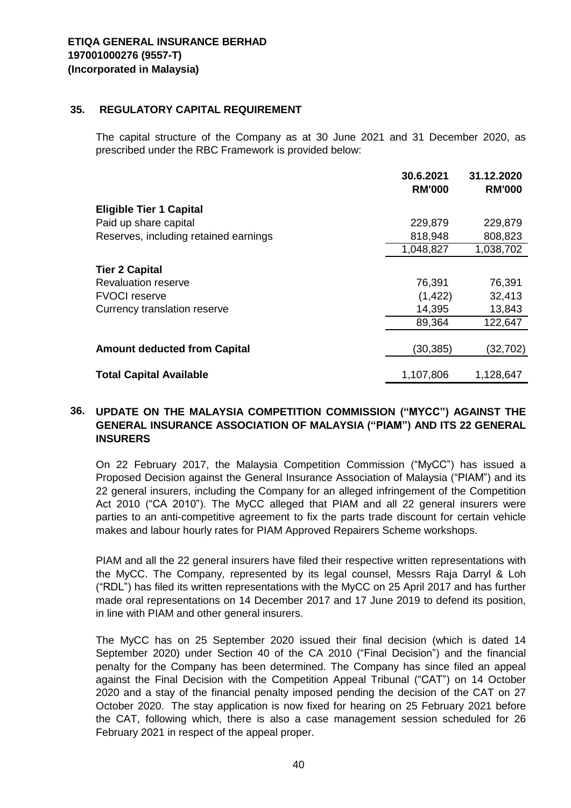#### **35. REGULATORY CAPITAL REQUIREMENT**

The capital structure of the Company as at 30 June 2021 and 31 December 2020, as prescribed under the RBC Framework is provided below:

|                                       | 30.6.2021<br><b>RM'000</b> | 31.12.2020<br><b>RM'000</b> |
|---------------------------------------|----------------------------|-----------------------------|
| <b>Eligible Tier 1 Capital</b>        |                            |                             |
| Paid up share capital                 | 229,879                    | 229,879                     |
| Reserves, including retained earnings | 818,948                    | 808,823                     |
|                                       | 1,048,827                  | 1,038,702                   |
| <b>Tier 2 Capital</b>                 |                            |                             |
| <b>Revaluation reserve</b>            | 76,391                     | 76,391                      |
| <b>FVOCI</b> reserve                  | (1, 422)                   | 32,413                      |
| Currency translation reserve          | 14,395                     | 13,843                      |
|                                       | 89,364                     | 122,647                     |
|                                       |                            |                             |
| <b>Amount deducted from Capital</b>   | (30, 385)                  | (32,702)                    |
| <b>Total Capital Available</b>        | 1,107,806                  | 1,128,647                   |

#### **36. UPDATE ON THE MALAYSIA COMPETITION COMMISSION ("MYCC") AGAINST THE GENERAL INSURANCE ASSOCIATION OF MALAYSIA ("PIAM") AND ITS 22 GENERAL INSURERS**

On 22 February 2017, the Malaysia Competition Commission ("MyCC") has issued a Proposed Decision against the General Insurance Association of Malaysia ("PIAM") and its 22 general insurers, including the Company for an alleged infringement of the Competition Act 2010 ("CA 2010"). The MyCC alleged that PIAM and all 22 general insurers were parties to an anti-competitive agreement to fix the parts trade discount for certain vehicle makes and labour hourly rates for PIAM Approved Repairers Scheme workshops.

PIAM and all the 22 general insurers have filed their respective written representations with the MyCC. The Company, represented by its legal counsel, Messrs Raja Darryl & Loh ("RDL") has filed its written representations with the MyCC on 25 April 2017 and has further made oral representations on 14 December 2017 and 17 June 2019 to defend its position, in line with PIAM and other general insurers.

The MyCC has on 25 September 2020 issued their final decision (which is dated 14 September 2020) under Section 40 of the CA 2010 ("Final Decision") and the financial penalty for the Company has been determined. The Company has since filed an appeal against the Final Decision with the Competition Appeal Tribunal ("CAT") on 14 October 2020 and a stay of the financial penalty imposed pending the decision of the CAT on 27 October 2020. The stay application is now fixed for hearing on 25 February 2021 before the CAT, following which, there is also a case management session scheduled for 26 February 2021 in respect of the appeal proper.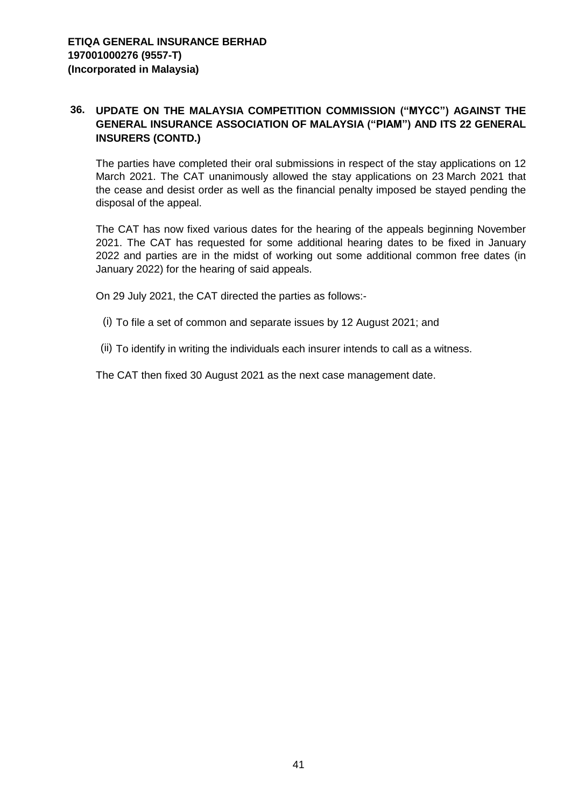#### **36. UPDATE ON THE MALAYSIA COMPETITION COMMISSION ("MYCC") AGAINST THE GENERAL INSURANCE ASSOCIATION OF MALAYSIA ("PIAM") AND ITS 22 GENERAL INSURERS (CONTD.)**

The parties have completed their oral submissions in respect of the stay applications on 12 March 2021. The CAT unanimously allowed the stay applications on 23 March 2021 that the cease and desist order as well as the financial penalty imposed be stayed pending the disposal of the appeal.

The CAT has now fixed various dates for the hearing of the appeals beginning November 2021. The CAT has requested for some additional hearing dates to be fixed in January 2022 and parties are in the midst of working out some additional common free dates (in January 2022) for the hearing of said appeals.

On 29 July 2021, the CAT directed the parties as follows:-

- (i) To file a set of common and separate issues by 12 August 2021; and
- (ii) To identify in writing the individuals each insurer intends to call as a witness.

The CAT then fixed 30 August 2021 as the next case management date.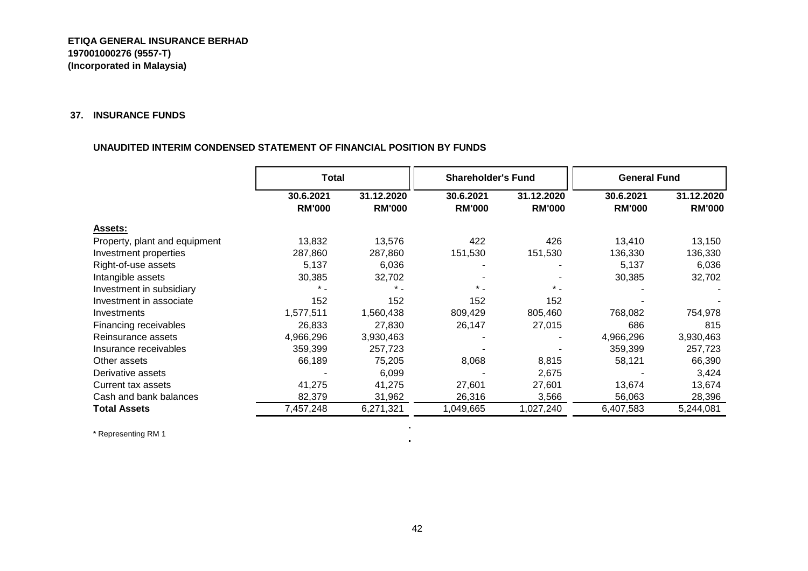#### **37. INSURANCE FUNDS**

#### **UNAUDITED INTERIM CONDENSED STATEMENT OF FINANCIAL POSITION BY FUNDS**

|                               | Total                      |                             | <b>Shareholder's Fund</b>  |                             | <b>General Fund</b>        |                             |
|-------------------------------|----------------------------|-----------------------------|----------------------------|-----------------------------|----------------------------|-----------------------------|
|                               | 30.6.2021<br><b>RM'000</b> | 31.12.2020<br><b>RM'000</b> | 30.6.2021<br><b>RM'000</b> | 31.12.2020<br><b>RM'000</b> | 30.6.2021<br><b>RM'000</b> | 31.12.2020<br><b>RM'000</b> |
| <b>Assets:</b>                |                            |                             |                            |                             |                            |                             |
| Property, plant and equipment | 13,832                     | 13,576                      | 422                        | 426                         | 13,410                     | 13,150                      |
| Investment properties         | 287,860                    | 287,860                     | 151,530                    | 151,530                     | 136,330                    | 136,330                     |
| Right-of-use assets           | 5,137                      | 6,036                       |                            |                             | 5,137                      | 6,036                       |
| Intangible assets             | 30,385                     | 32,702                      |                            |                             | 30,385                     | 32,702                      |
| Investment in subsidiary      |                            | $\star$ .                   | $^{\star}$ .               | $\star$ .                   |                            |                             |
| Investment in associate       | 152                        | 152                         | 152                        | 152                         |                            |                             |
| Investments                   | 1,577,511                  | 1,560,438                   | 809,429                    | 805,460                     | 768,082                    | 754,978                     |
| Financing receivables         | 26,833                     | 27,830                      | 26,147                     | 27,015                      | 686                        | 815                         |
| Reinsurance assets            | 4,966,296                  | 3,930,463                   |                            |                             | 4,966,296                  | 3,930,463                   |
| Insurance receivables         | 359,399                    | 257,723                     |                            |                             | 359,399                    | 257,723                     |
| Other assets                  | 66,189                     | 75,205                      | 8,068                      | 8,815                       | 58,121                     | 66,390                      |
| Derivative assets             |                            | 6,099                       |                            | 2,675                       |                            | 3,424                       |
| Current tax assets            | 41,275                     | 41,275                      | 27,601                     | 27,601                      | 13,674                     | 13,674                      |
| Cash and bank balances        | 82,379                     | 31,962                      | 26,316                     | 3,566                       | 56,063                     | 28,396                      |
| <b>Total Assets</b>           | 7,457,248                  | 6,271,321                   | 1,049,665                  | 1,027,240                   | 6,407,583                  | 5,244,081                   |

\* Representing RM 1

 $\sim$  $\mathbf{u}$  .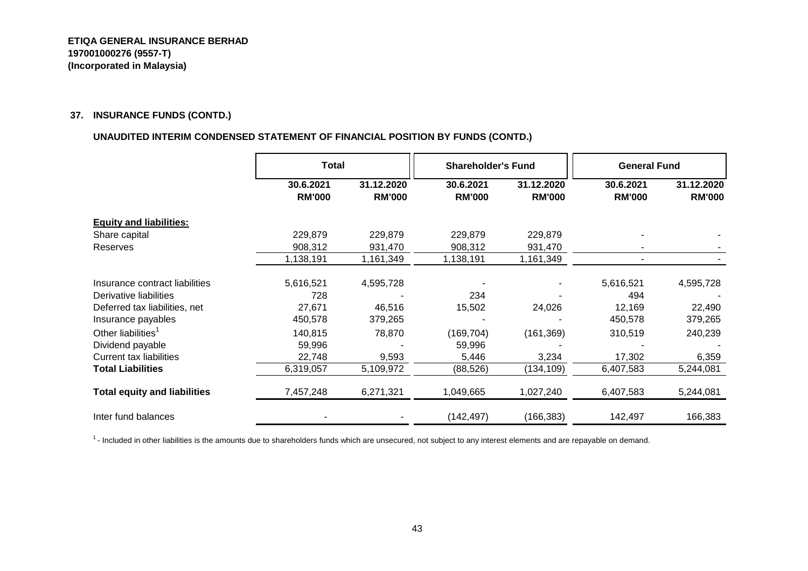#### **37. INSURANCE FUNDS (CONTD.)**

#### **UNAUDITED INTERIM CONDENSED STATEMENT OF FINANCIAL POSITION BY FUNDS (CONTD.)**

|                                     | Total                      |                             | <b>Shareholder's Fund</b>  |                             | <b>General Fund</b>        |                             |
|-------------------------------------|----------------------------|-----------------------------|----------------------------|-----------------------------|----------------------------|-----------------------------|
|                                     | 30.6.2021<br><b>RM'000</b> | 31.12.2020<br><b>RM'000</b> | 30.6.2021<br><b>RM'000</b> | 31.12.2020<br><b>RM'000</b> | 30.6.2021<br><b>RM'000</b> | 31.12.2020<br><b>RM'000</b> |
| <b>Equity and liabilities:</b>      |                            |                             |                            |                             |                            |                             |
| Share capital                       | 229,879                    | 229,879                     | 229,879                    | 229,879                     |                            |                             |
| Reserves                            | 908,312                    | 931,470                     | 908,312                    | 931,470                     |                            |                             |
|                                     | 1,138,191                  | 1,161,349                   | 1,138,191                  | 1,161,349                   |                            |                             |
| Insurance contract liabilities      | 5,616,521                  | 4,595,728                   |                            |                             | 5,616,521                  | 4,595,728                   |
| Derivative liabilities              | 728                        |                             | 234                        |                             | 494                        |                             |
| Deferred tax liabilities, net       | 27,671                     | 46,516                      | 15,502                     | 24,026                      | 12,169                     | 22,490                      |
| Insurance payables                  | 450,578                    | 379,265                     |                            |                             | 450,578                    | 379,265                     |
| Other liabilities <sup>1</sup>      | 140,815                    | 78,870                      | (169, 704)                 | (161, 369)                  | 310,519                    | 240,239                     |
| Dividend payable                    | 59,996                     |                             | 59,996                     |                             |                            |                             |
| <b>Current tax liabilities</b>      | 22,748                     | 9,593                       | 5,446                      | 3,234                       | 17,302                     | 6,359                       |
| <b>Total Liabilities</b>            | 6,319,057                  | 5,109,972                   | (88, 526)                  | (134, 109)                  | 6,407,583                  | 5,244,081                   |
| <b>Total equity and liabilities</b> | 7,457,248                  | 6,271,321                   | 1,049,665                  | 1,027,240                   | 6,407,583                  | 5,244,081                   |
| Inter fund balances                 |                            |                             | (142, 497)                 | (166, 383)                  | 142,497                    | 166,383                     |

<sup>1</sup> - Included in other liabilities is the amounts due to shareholders funds which are unsecured, not subject to any interest elements and are repayable on demand.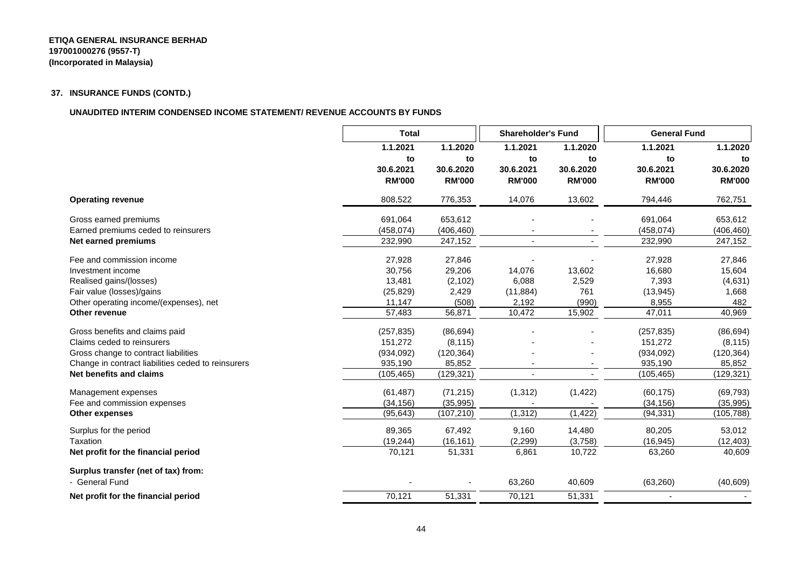#### **ETIQA GENERAL INSURANCE BERHAD 197001000276 (9557-T) (Incorporated in Malaysia)**

#### **37. INSURANCE FUNDS (CONTD.)**

#### **UNAUDITED INTERIM CONDENSED INCOME STATEMENT/ REVENUE ACCOUNTS BY FUNDS**

|                                                    | <b>Total</b>  |               | <b>Shareholder's Fund</b> |               | <b>General Fund</b> |               |
|----------------------------------------------------|---------------|---------------|---------------------------|---------------|---------------------|---------------|
|                                                    | 1.1.2021      | 1.1.2020      | 1.1.2021                  | 1.1.2020      | 1.1.2021            | 1.1.2020      |
|                                                    | to            | to            | to                        | to            | to                  | to            |
|                                                    | 30.6.2021     | 30.6.2020     | 30.6.2021                 | 30.6.2020     | 30.6.2021           | 30.6.2020     |
|                                                    | <b>RM'000</b> | <b>RM'000</b> | <b>RM'000</b>             | <b>RM'000</b> | <b>RM'000</b>       | <b>RM'000</b> |
| <b>Operating revenue</b>                           | 808,522       | 776,353       | 14,076                    | 13,602        | 794,446             | 762,751       |
| Gross earned premiums                              | 691,064       | 653,612       |                           |               | 691,064             | 653,612       |
| Earned premiums ceded to reinsurers                | (458, 074)    | (406, 460)    |                           |               | (458, 074)          | (406, 460)    |
| <b>Net earned premiums</b>                         | 232,990       | 247,152       |                           |               | 232,990             | 247,152       |
| Fee and commission income                          | 27,928        | 27,846        |                           |               | 27,928              | 27,846        |
| Investment income                                  | 30,756        | 29,206        | 14,076                    | 13,602        | 16,680              | 15,604        |
| Realised gains/(losses)                            | 13,481        | (2, 102)      | 6,088                     | 2,529         | 7,393               | (4,631)       |
| Fair value (losses)/gains                          | (25, 829)     | 2,429         | (11, 884)                 | 761           | (13, 945)           | 1,668         |
| Other operating income/(expenses), net             | 11,147        | (508)         | 2,192                     | (990)         | 8,955               | 482           |
| Other revenue                                      | 57,483        | 56,871        | 10,472                    | 15,902        | 47,011              | 40,969        |
| Gross benefits and claims paid                     | (257, 835)    | (86, 694)     |                           |               | (257, 835)          | (86, 694)     |
| Claims ceded to reinsurers                         | 151,272       | (8, 115)      |                           |               | 151,272             | (8, 115)      |
| Gross change to contract liabilities               | (934, 092)    | (120, 364)    |                           |               | (934,092)           | (120, 364)    |
| Change in contract liabilities ceded to reinsurers | 935,190       | 85,852        |                           |               | 935,190             | 85,852        |
| Net benefits and claims                            | (105, 465)    | (129, 321)    |                           |               | (105, 465)          | (129, 321)    |
| Management expenses                                | (61, 487)     | (71, 215)     | (1, 312)                  | (1, 422)      | (60, 175)           | (69, 793)     |
| Fee and commission expenses                        | (34, 156)     | (35,995)      |                           |               | (34, 156)           | (35, 995)     |
| <b>Other expenses</b>                              | (95, 643)     | (107, 210)    | (1, 312)                  | (1, 422)      | (94, 331)           | (105, 788)    |
| Surplus for the period                             | 89,365        | 67,492        | 9,160                     | 14,480        | 80,205              | 53,012        |
| Taxation                                           | (19, 244)     | (16, 161)     | (2,299)                   | (3,758)       | (16, 945)           | (12, 403)     |
| Net profit for the financial period                | 70,121        | 51,331        | 6,861                     | 10,722        | 63,260              | 40,609        |
| Surplus transfer (net of tax) from:                |               |               |                           |               |                     |               |
| - General Fund                                     |               |               | 63,260                    | 40,609        | (63, 260)           | (40, 609)     |
| Net profit for the financial period                | 70,121        | 51,331        | 70,121                    | 51,331        |                     |               |